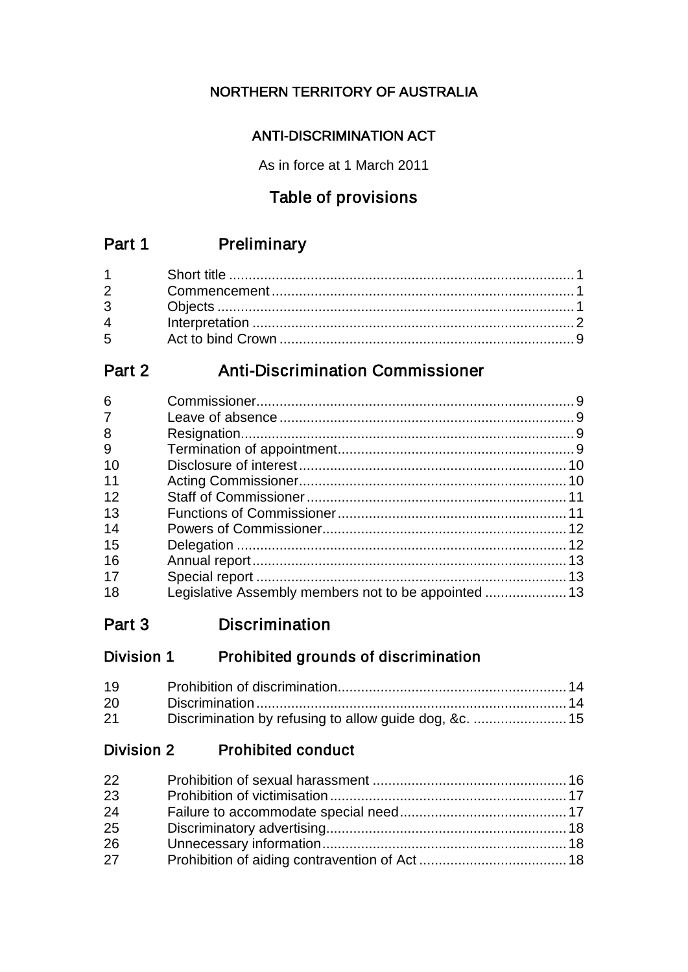## NORTHERN TERRITORY OF AUSTRALIA

## ANTI-DISCRIMINATION ACT

As in force at 1 March 2011

## Table of provisions

## Part 1 Preliminary

| $5^{\circ}$ |  |
|-------------|--|

## Part 2 Anti-Discrimination Commissioner

| Legislative Assembly members not to be appointed  13 |
|------------------------------------------------------|

## Part 3 Discrimination

## Division 1 Prohibited grounds of discrimination

| 19 |  |
|----|--|
| 20 |  |
| 21 |  |

## Division 2 Prohibited conduct

| 22 |  |
|----|--|
| 23 |  |
| 24 |  |
| 25 |  |
| 26 |  |
| 27 |  |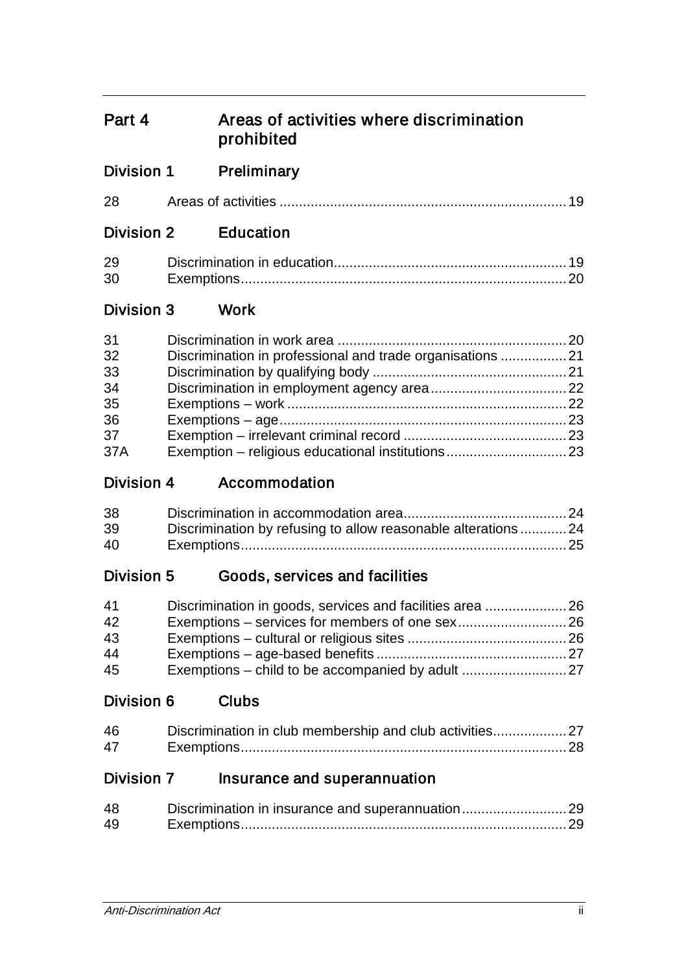## Part 4 Areas of activities where discrimination prohibited

| 28 |  |  |  |
|----|--|--|--|
|----|--|--|--|

## Division 2 Education

| 29 |  |
|----|--|
| 30 |  |

## Division 3 Work

| 31  |  |
|-----|--|
| 32  |  |
| 33  |  |
| 34  |  |
| 35  |  |
| 36  |  |
| 37  |  |
| 37A |  |

Division 4 Accommodation

| 38 |                                                               |  |
|----|---------------------------------------------------------------|--|
| 39 | Discrimination by refusing to allow reasonable alterations 24 |  |
| 40 |                                                               |  |

## Division 5 Goods, services and facilities

| 41 |  |
|----|--|
| 42 |  |
| 43 |  |
| 44 |  |
| 45 |  |

## Division 6 Clubs

| 46 |  |
|----|--|
| 47 |  |

## Division 7 Insurance and superannuation

| 48 | Discrimination in insurance and superannuation29 |  |
|----|--------------------------------------------------|--|
| 49 |                                                  |  |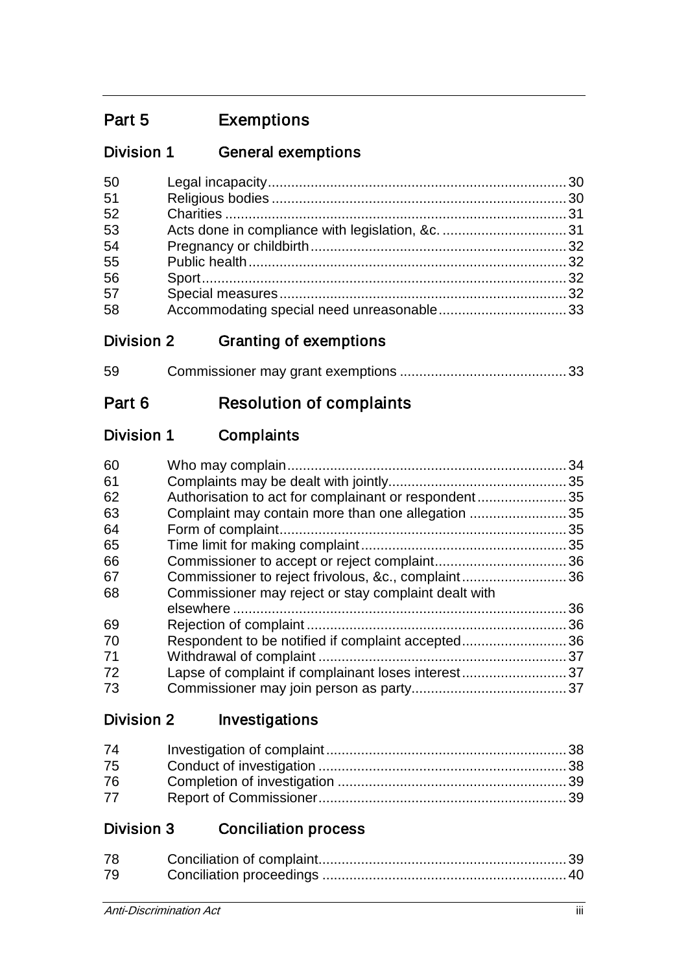## Part 5 Exemptions

## Division 1 General exemptions

| 50 |  |
|----|--|
| 51 |  |
| 52 |  |
| 53 |  |
| 54 |  |
| 55 |  |
| 56 |  |
| 57 |  |
| 58 |  |

## Division 2 Granting of exemptions

| 59 |  |
|----|--|
|    |  |

# Part 6 Resolution of complaints

## Division 1 Complaints

| 60 |                                                      | 34 |
|----|------------------------------------------------------|----|
|    |                                                      |    |
| 61 |                                                      |    |
| 62 | Authorisation to act for complainant or respondent35 |    |
| 63 | Complaint may contain more than one allegation       | 35 |
| 64 |                                                      | 35 |
| 65 |                                                      |    |
| 66 |                                                      |    |
| 67 | Commissioner to reject frivolous, &c., complaint36   |    |
| 68 | Commissioner may reject or stay complaint dealt with |    |
|    |                                                      | 36 |
| 69 |                                                      | 36 |
| 70 | Respondent to be notified if complaint accepted36    |    |
| 71 |                                                      |    |
| 72 | Lapse of complaint if complainant loses interest37   |    |
| 73 |                                                      |    |
|    |                                                      |    |

## Division 2 Investigations

| 74 |  |
|----|--|
| 75 |  |
| 76 |  |
| 77 |  |

## Division 3 Conciliation process

| 78 |  |
|----|--|
| 79 |  |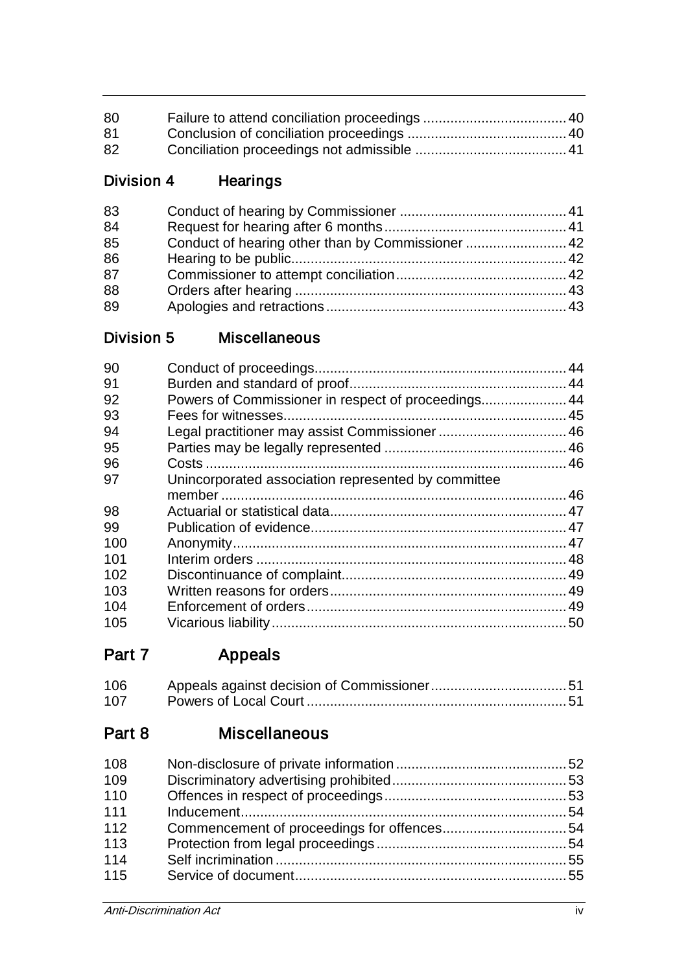| 80 |  |
|----|--|
| 81 |  |
| 82 |  |

## Division 4 Hearings

| 83 |  |
|----|--|
| 84 |  |
| 85 |  |
| 86 |  |
| 87 |  |
| 88 |  |
| 89 |  |

## Division 5 Miscellaneous

| Powers of Commissioner in respect of proceedings 44 |
|-----------------------------------------------------|
|                                                     |
| Legal practitioner may assist Commissioner  46      |
|                                                     |
|                                                     |
| Unincorporated association represented by committee |
|                                                     |
|                                                     |
|                                                     |
|                                                     |
|                                                     |
|                                                     |
|                                                     |
|                                                     |
|                                                     |
|                                                     |

Part 7 Appeals

| 106 |  |
|-----|--|
| 107 |  |

## Part 8 Miscellaneous

| 108 |  |
|-----|--|
| 109 |  |
| 110 |  |
| 111 |  |
| 112 |  |
| 113 |  |
| 114 |  |
| 115 |  |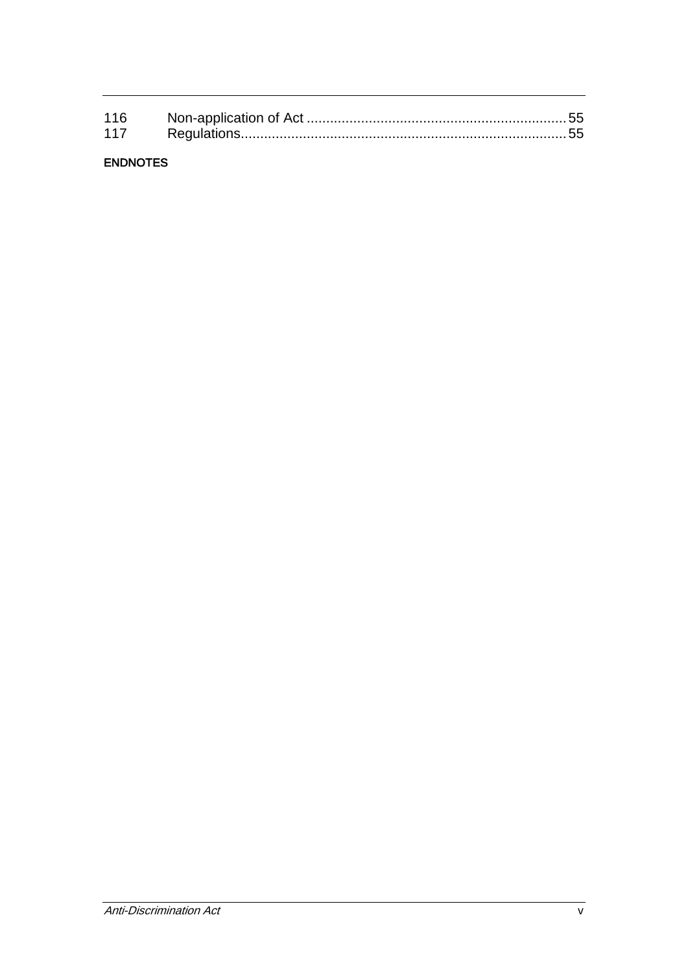## ENDNOTES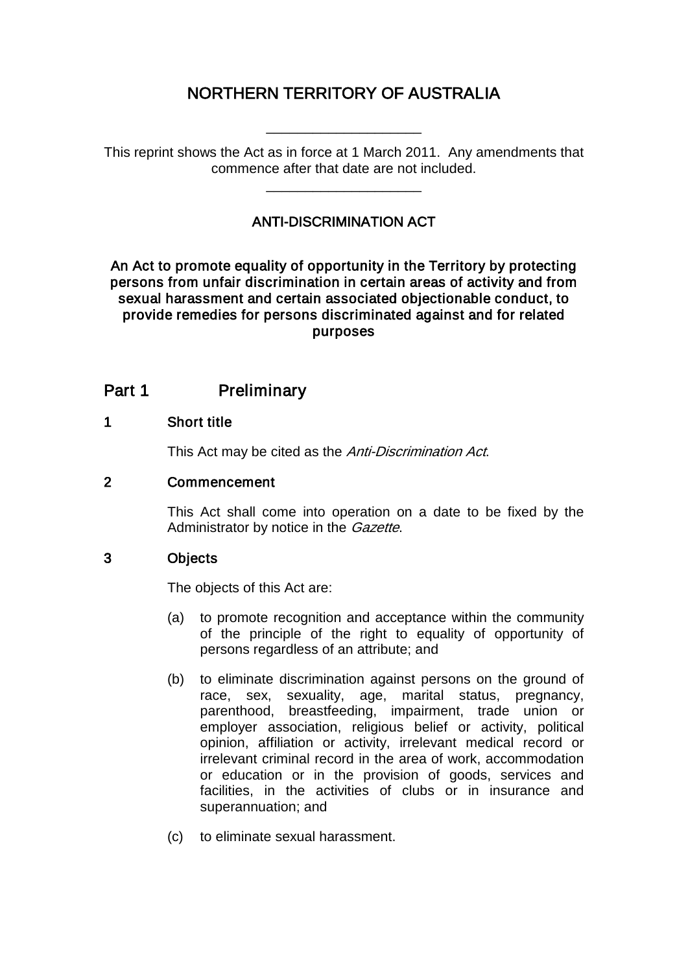## NORTHERN TERRITORY OF AUSTRALIA

\_\_\_\_\_\_\_\_\_\_\_\_\_\_\_\_\_\_\_\_

This reprint shows the Act as in force at 1 March 2011. Any amendments that commence after that date are not included.

\_\_\_\_\_\_\_\_\_\_\_\_\_\_\_\_\_\_\_\_

## ANTI-DISCRIMINATION ACT

An Act to promote equality of opportunity in the Territory by protecting persons from unfair discrimination in certain areas of activity and from sexual harassment and certain associated objectionable conduct, to provide remedies for persons discriminated against and for related purposes

## Part 1 Preliminary

#### 1 Short title

This Act may be cited as the Anti-Discrimination Act.

#### 2 Commencement

This Act shall come into operation on a date to be fixed by the Administrator by notice in the *Gazette*.

#### 3 Objects

The objects of this Act are:

- (a) to promote recognition and acceptance within the community of the principle of the right to equality of opportunity of persons regardless of an attribute; and
- (b) to eliminate discrimination against persons on the ground of race, sex, sexuality, age, marital status, pregnancy, parenthood, breastfeeding, impairment, trade union or employer association, religious belief or activity, political opinion, affiliation or activity, irrelevant medical record or irrelevant criminal record in the area of work, accommodation or education or in the provision of goods, services and facilities, in the activities of clubs or in insurance and superannuation; and
- (c) to eliminate sexual harassment.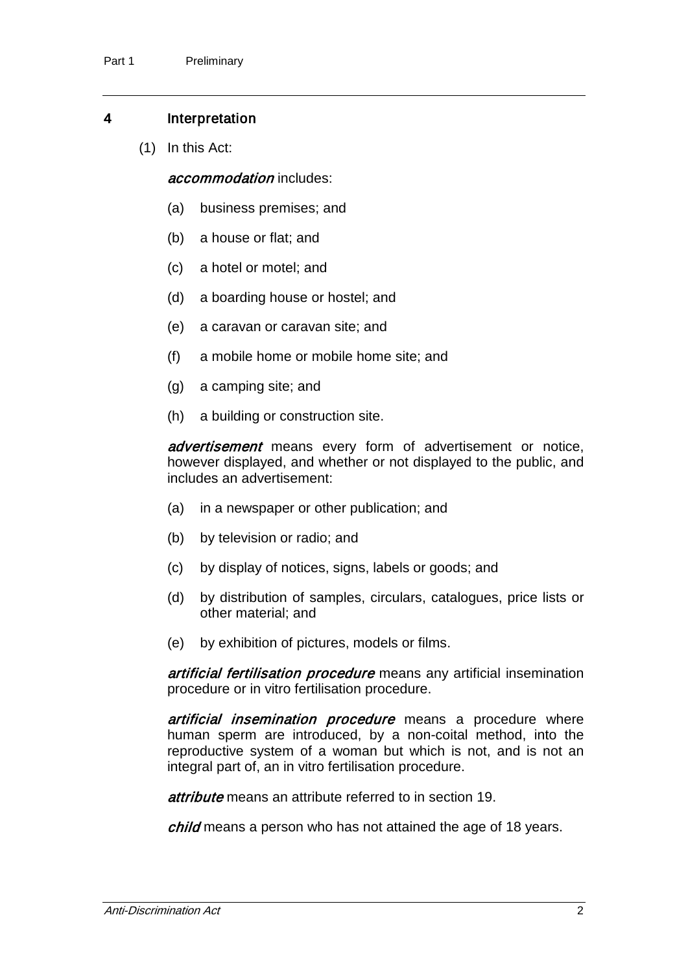#### 4 Interpretation

(1) In this Act:

accommodation includes:

- (a) business premises; and
- (b) a house or flat; and
- (c) a hotel or motel; and
- (d) a boarding house or hostel; and
- (e) a caravan or caravan site; and
- (f) a mobile home or mobile home site; and
- (g) a camping site; and
- (h) a building or construction site.

advertisement means every form of advertisement or notice, however displayed, and whether or not displayed to the public, and includes an advertisement:

- (a) in a newspaper or other publication; and
- (b) by television or radio; and
- (c) by display of notices, signs, labels or goods; and
- (d) by distribution of samples, circulars, catalogues, price lists or other material; and
- (e) by exhibition of pictures, models or films.

artificial fertilisation procedure means any artificial insemination procedure or in vitro fertilisation procedure.

artificial insemination procedure means a procedure where human sperm are introduced, by a non-coital method, into the reproductive system of a woman but which is not, and is not an integral part of, an in vitro fertilisation procedure.

attribute means an attribute referred to in section 19.

child means a person who has not attained the age of 18 years.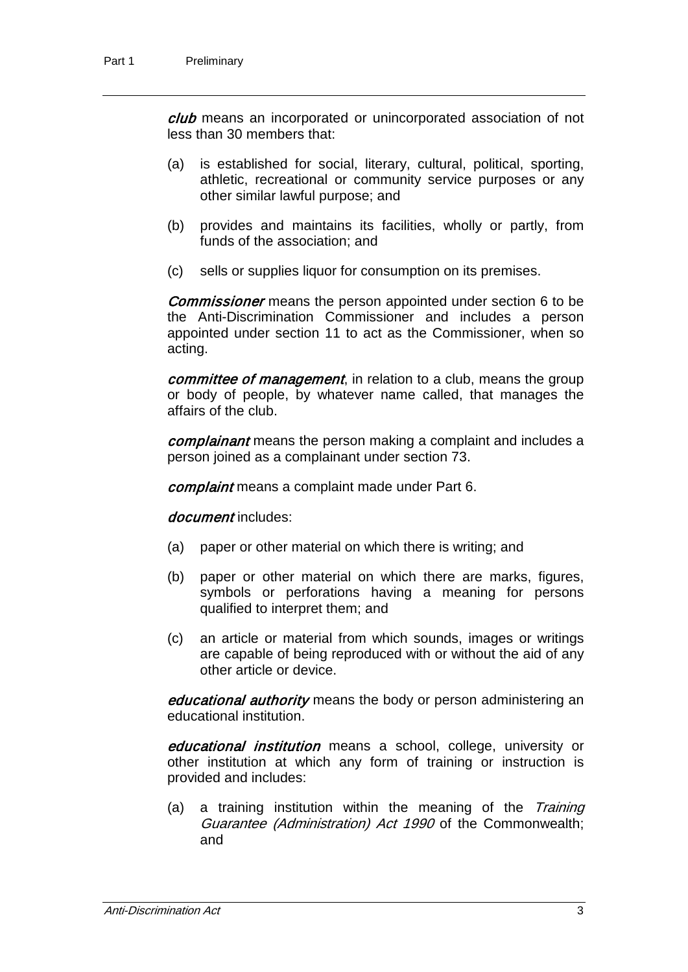club means an incorporated or unincorporated association of not less than 30 members that:

- (a) is established for social, literary, cultural, political, sporting, athletic, recreational or community service purposes or any other similar lawful purpose; and
- (b) provides and maintains its facilities, wholly or partly, from funds of the association; and
- (c) sells or supplies liquor for consumption on its premises.

**Commissioner** means the person appointed under section 6 to be the Anti-Discrimination Commissioner and includes a person appointed under section 11 to act as the Commissioner, when so acting.

committee of management, in relation to a club, means the group or body of people, by whatever name called, that manages the affairs of the club.

complainant means the person making a complaint and includes a person joined as a complainant under section 73.

complaint means a complaint made under Part 6.

document includes:

- (a) paper or other material on which there is writing; and
- (b) paper or other material on which there are marks, figures, symbols or perforations having a meaning for persons qualified to interpret them; and
- (c) an article or material from which sounds, images or writings are capable of being reproduced with or without the aid of any other article or device.

educational authority means the body or person administering an educational institution.

educational institution means a school, college, university or other institution at which any form of training or instruction is provided and includes:

(a) a training institution within the meaning of the Training Guarantee (Administration) Act 1990 of the Commonwealth; and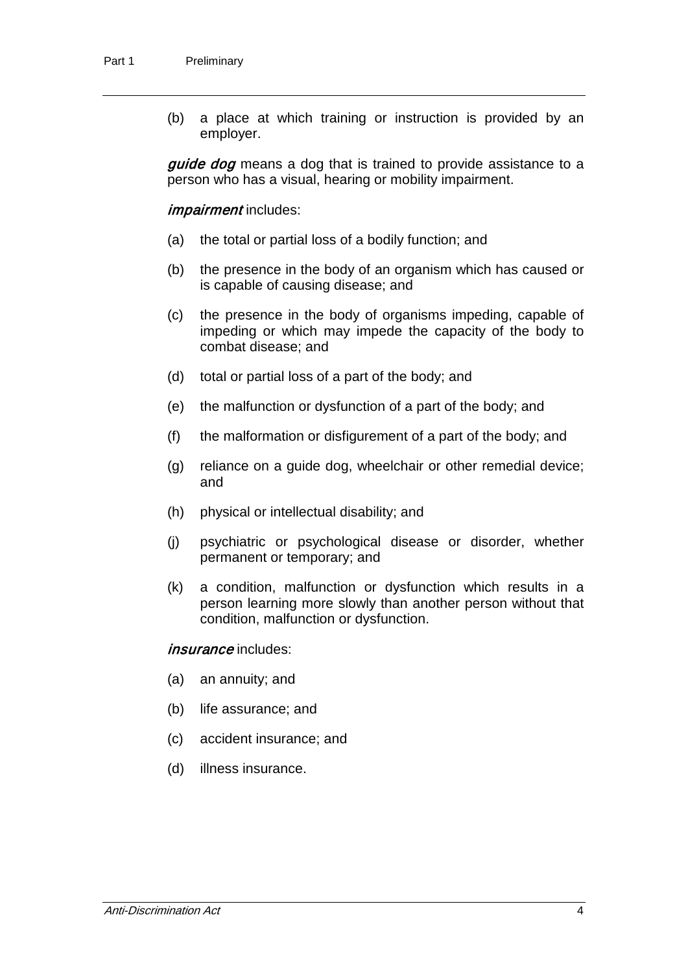(b) a place at which training or instruction is provided by an employer.

*guide dog* means a dog that is trained to provide assistance to a person who has a visual, hearing or mobility impairment.

impairment includes:

- (a) the total or partial loss of a bodily function; and
- (b) the presence in the body of an organism which has caused or is capable of causing disease; and
- (c) the presence in the body of organisms impeding, capable of impeding or which may impede the capacity of the body to combat disease; and
- (d) total or partial loss of a part of the body; and
- (e) the malfunction or dysfunction of a part of the body; and
- (f) the malformation or disfigurement of a part of the body; and
- (g) reliance on a guide dog, wheelchair or other remedial device; and
- (h) physical or intellectual disability; and
- (j) psychiatric or psychological disease or disorder, whether permanent or temporary; and
- (k) a condition, malfunction or dysfunction which results in a person learning more slowly than another person without that condition, malfunction or dysfunction.

#### insurance includes:

- (a) an annuity; and
- (b) life assurance; and
- (c) accident insurance; and
- (d) illness insurance.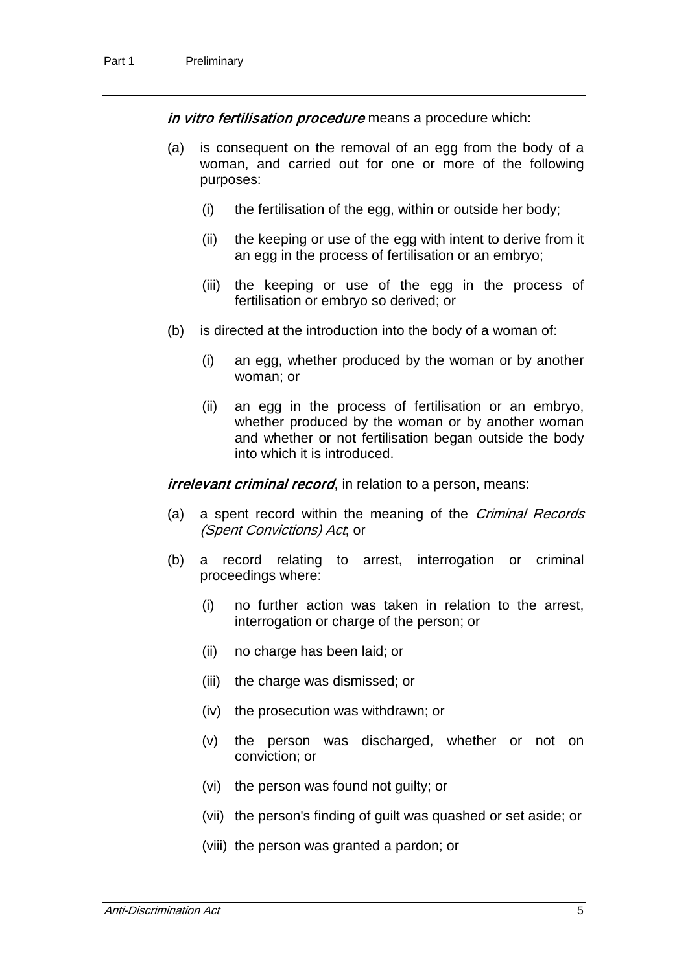in vitro fertilisation procedure means a procedure which:

- (a) is consequent on the removal of an egg from the body of a woman, and carried out for one or more of the following purposes:
	- (i) the fertilisation of the egg, within or outside her body;
	- (ii) the keeping or use of the egg with intent to derive from it an egg in the process of fertilisation or an embryo;
	- (iii) the keeping or use of the egg in the process of fertilisation or embryo so derived; or
- (b) is directed at the introduction into the body of a woman of:
	- (i) an egg, whether produced by the woman or by another woman; or
	- (ii) an egg in the process of fertilisation or an embryo, whether produced by the woman or by another woman and whether or not fertilisation began outside the body into which it is introduced.

*irrelevant criminal record*, in relation to a person, means:

- (a) a spent record within the meaning of the Criminal Records (Spent Convictions) Act; or
- (b) a record relating to arrest, interrogation or criminal proceedings where:
	- (i) no further action was taken in relation to the arrest, interrogation or charge of the person; or
	- (ii) no charge has been laid; or
	- (iii) the charge was dismissed; or
	- (iv) the prosecution was withdrawn; or
	- (v) the person was discharged, whether or not on conviction; or
	- (vi) the person was found not guilty; or
	- (vii) the person's finding of guilt was quashed or set aside; or
	- (viii) the person was granted a pardon; or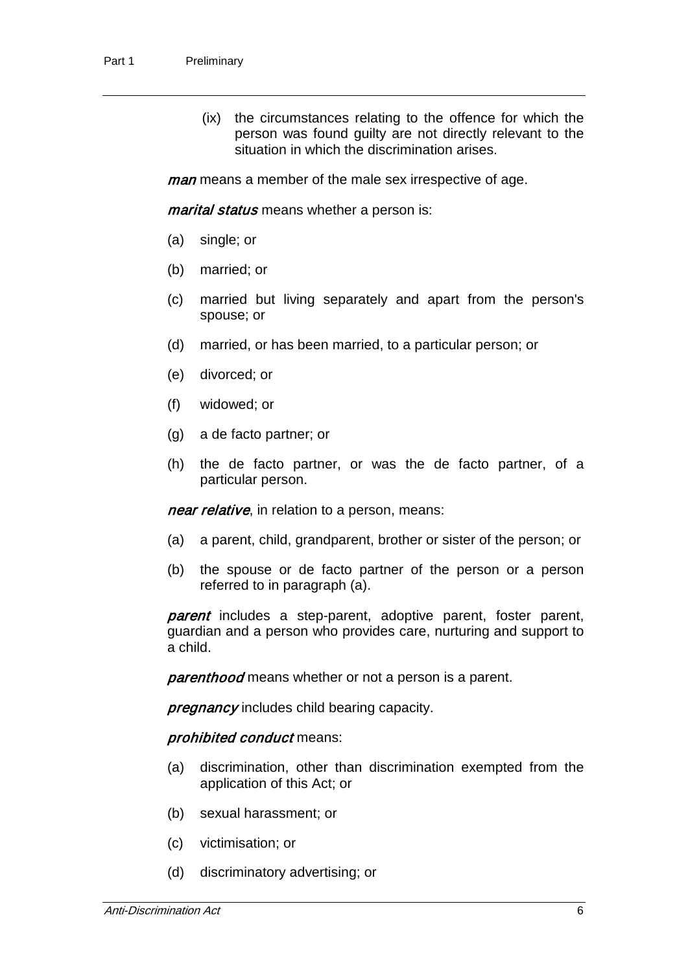(ix) the circumstances relating to the offence for which the person was found guilty are not directly relevant to the situation in which the discrimination arises.

man means a member of the male sex irrespective of age.

*marital status* means whether a person is:

- (a) single; or
- (b) married; or
- (c) married but living separately and apart from the person's spouse; or
- (d) married, or has been married, to a particular person; or
- (e) divorced; or
- (f) widowed; or
- (g) a de facto partner; or
- (h) the de facto partner, or was the de facto partner, of a particular person.

near relative, in relation to a person, means:

- (a) a parent, child, grandparent, brother or sister of the person; or
- (b) the spouse or de facto partner of the person or a person referred to in paragraph (a).

parent includes a step-parent, adoptive parent, foster parent, guardian and a person who provides care, nurturing and support to a child.

**parenthood** means whether or not a person is a parent.

**pregnancy** includes child bearing capacity.

#### prohibited conduct means:

- (a) discrimination, other than discrimination exempted from the application of this Act; or
- (b) sexual harassment; or
- (c) victimisation; or
- (d) discriminatory advertising; or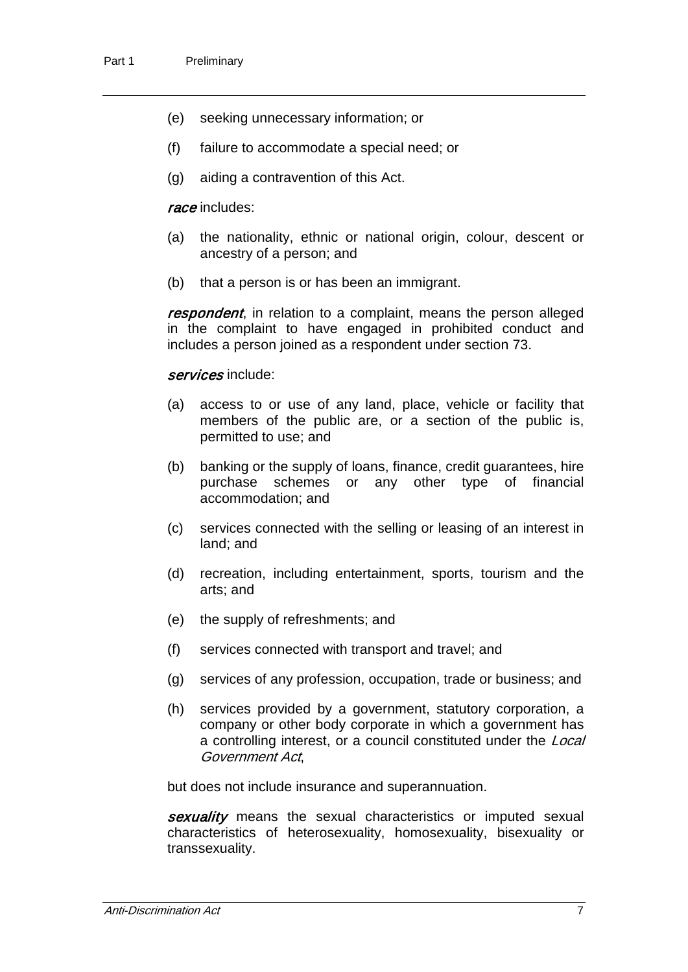- (e) seeking unnecessary information; or
- (f) failure to accommodate a special need; or
- (g) aiding a contravention of this Act.

#### race includes:

- (a) the nationality, ethnic or national origin, colour, descent or ancestry of a person; and
- (b) that a person is or has been an immigrant.

respondent, in relation to a complaint, means the person alleged in the complaint to have engaged in prohibited conduct and includes a person joined as a respondent under section 73.

#### services include:

- (a) access to or use of any land, place, vehicle or facility that members of the public are, or a section of the public is, permitted to use; and
- (b) banking or the supply of loans, finance, credit guarantees, hire purchase schemes or any other type of financial accommodation; and
- (c) services connected with the selling or leasing of an interest in land; and
- (d) recreation, including entertainment, sports, tourism and the arts; and
- (e) the supply of refreshments; and
- (f) services connected with transport and travel; and
- (g) services of any profession, occupation, trade or business; and
- (h) services provided by a government, statutory corporation, a company or other body corporate in which a government has a controlling interest, or a council constituted under the *Local* Government Act,

but does not include insurance and superannuation.

sexuality means the sexual characteristics or imputed sexual characteristics of heterosexuality, homosexuality, bisexuality or transsexuality.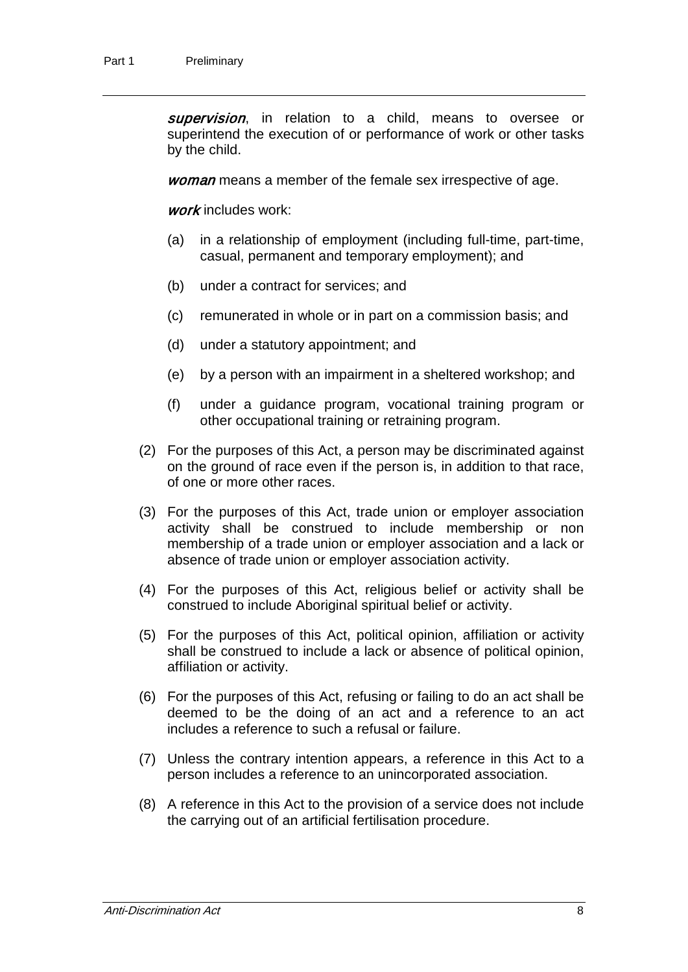supervision, in relation to a child, means to oversee or superintend the execution of or performance of work or other tasks by the child.

woman means a member of the female sex irrespective of age.

work includes work:

- (a) in a relationship of employment (including full-time, part-time, casual, permanent and temporary employment); and
- (b) under a contract for services; and
- (c) remunerated in whole or in part on a commission basis; and
- (d) under a statutory appointment; and
- (e) by a person with an impairment in a sheltered workshop; and
- (f) under a guidance program, vocational training program or other occupational training or retraining program.
- (2) For the purposes of this Act, a person may be discriminated against on the ground of race even if the person is, in addition to that race, of one or more other races.
- (3) For the purposes of this Act, trade union or employer association activity shall be construed to include membership or non membership of a trade union or employer association and a lack or absence of trade union or employer association activity.
- (4) For the purposes of this Act, religious belief or activity shall be construed to include Aboriginal spiritual belief or activity.
- (5) For the purposes of this Act, political opinion, affiliation or activity shall be construed to include a lack or absence of political opinion, affiliation or activity.
- (6) For the purposes of this Act, refusing or failing to do an act shall be deemed to be the doing of an act and a reference to an act includes a reference to such a refusal or failure.
- (7) Unless the contrary intention appears, a reference in this Act to a person includes a reference to an unincorporated association.
- (8) A reference in this Act to the provision of a service does not include the carrying out of an artificial fertilisation procedure.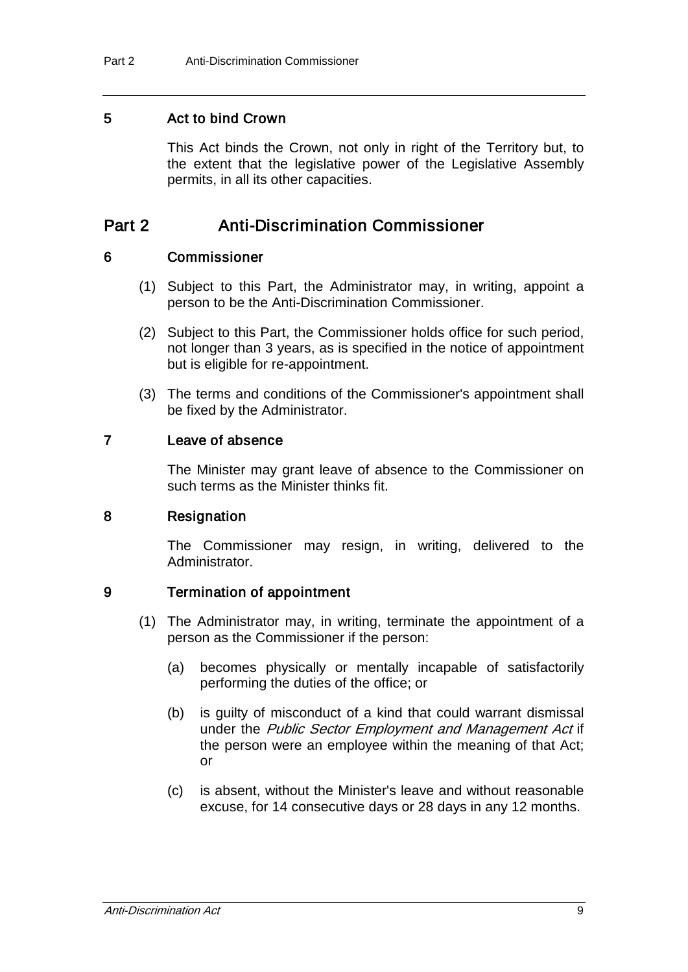#### 5 Act to bind Crown

This Act binds the Crown, not only in right of the Territory but, to the extent that the legislative power of the Legislative Assembly permits, in all its other capacities.

## Part 2 Anti-Discrimination Commissioner

#### 6 Commissioner

- (1) Subject to this Part, the Administrator may, in writing, appoint a person to be the Anti-Discrimination Commissioner.
- (2) Subject to this Part, the Commissioner holds office for such period, not longer than 3 years, as is specified in the notice of appointment but is eligible for re-appointment.
- (3) The terms and conditions of the Commissioner's appointment shall be fixed by the Administrator.

#### 7 Leave of absence

The Minister may grant leave of absence to the Commissioner on such terms as the Minister thinks fit.

#### 8 Resignation

The Commissioner may resign, in writing, delivered to the Administrator.

#### 9 Termination of appointment

- (1) The Administrator may, in writing, terminate the appointment of a person as the Commissioner if the person:
	- (a) becomes physically or mentally incapable of satisfactorily performing the duties of the office; or
	- (b) is guilty of misconduct of a kind that could warrant dismissal under the Public Sector Employment and Management Act if the person were an employee within the meaning of that Act; or
	- (c) is absent, without the Minister's leave and without reasonable excuse, for 14 consecutive days or 28 days in any 12 months.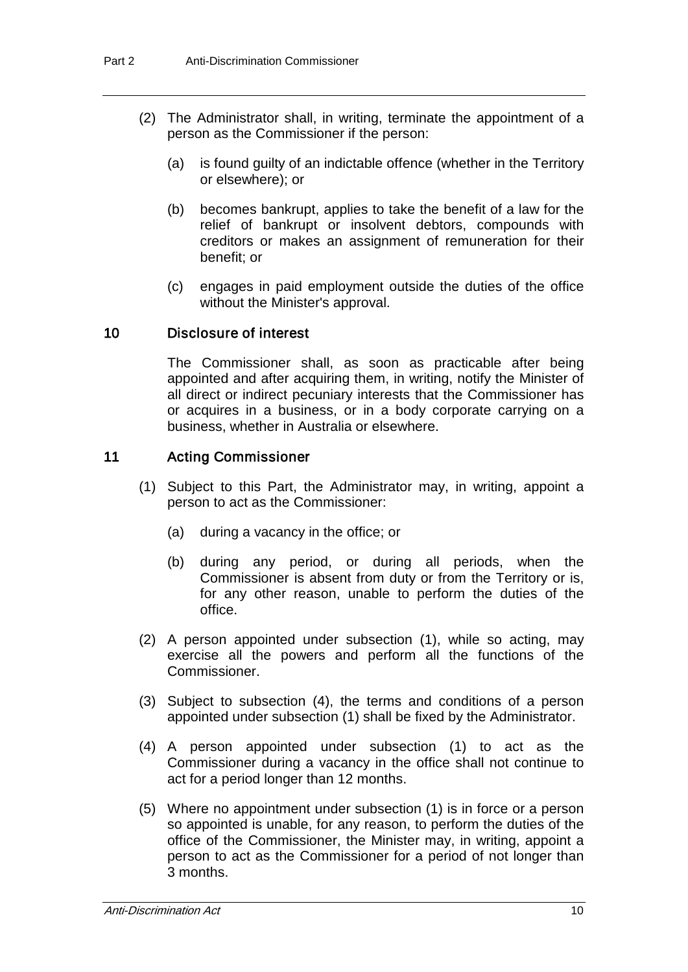- (2) The Administrator shall, in writing, terminate the appointment of a person as the Commissioner if the person:
	- (a) is found guilty of an indictable offence (whether in the Territory or elsewhere); or
	- (b) becomes bankrupt, applies to take the benefit of a law for the relief of bankrupt or insolvent debtors, compounds with creditors or makes an assignment of remuneration for their benefit; or
	- (c) engages in paid employment outside the duties of the office without the Minister's approval.

#### 10 Disclosure of interest

The Commissioner shall, as soon as practicable after being appointed and after acquiring them, in writing, notify the Minister of all direct or indirect pecuniary interests that the Commissioner has or acquires in a business, or in a body corporate carrying on a business, whether in Australia or elsewhere.

#### 11 Acting Commissioner

- (1) Subject to this Part, the Administrator may, in writing, appoint a person to act as the Commissioner:
	- (a) during a vacancy in the office; or
	- (b) during any period, or during all periods, when the Commissioner is absent from duty or from the Territory or is, for any other reason, unable to perform the duties of the office.
- (2) A person appointed under subsection (1), while so acting, may exercise all the powers and perform all the functions of the Commissioner.
- (3) Subject to subsection (4), the terms and conditions of a person appointed under subsection (1) shall be fixed by the Administrator.
- (4) A person appointed under subsection (1) to act as the Commissioner during a vacancy in the office shall not continue to act for a period longer than 12 months.
- (5) Where no appointment under subsection (1) is in force or a person so appointed is unable, for any reason, to perform the duties of the office of the Commissioner, the Minister may, in writing, appoint a person to act as the Commissioner for a period of not longer than 3 months.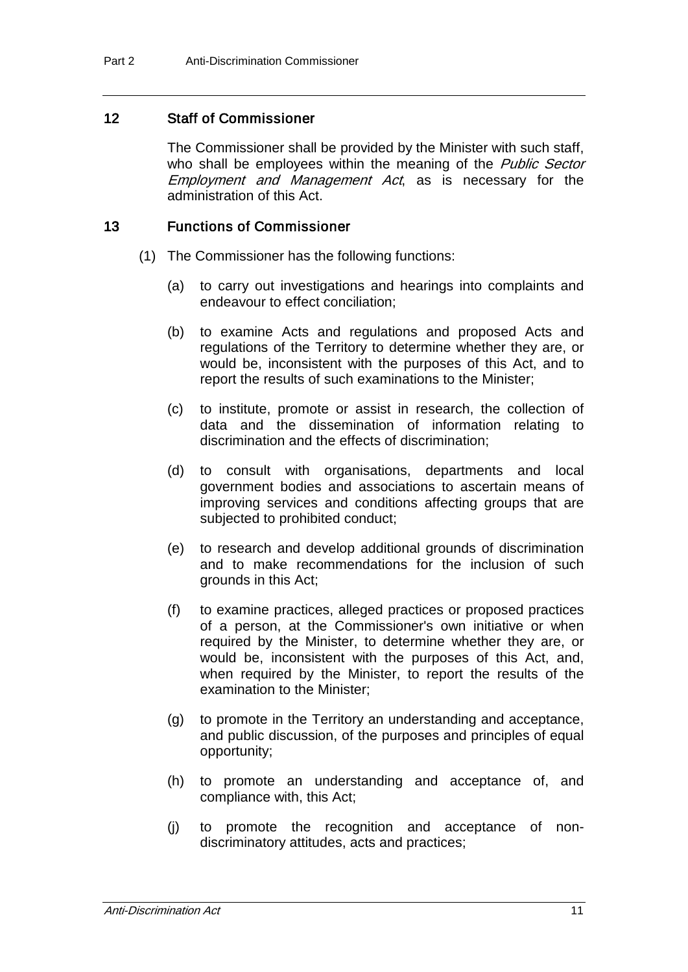#### 12 Staff of Commissioner

The Commissioner shall be provided by the Minister with such staff, who shall be employees within the meaning of the *Public Sector* Employment and Management Act, as is necessary for the administration of this Act.

#### 13 Functions of Commissioner

- (1) The Commissioner has the following functions:
	- (a) to carry out investigations and hearings into complaints and endeavour to effect conciliation;
	- (b) to examine Acts and regulations and proposed Acts and regulations of the Territory to determine whether they are, or would be, inconsistent with the purposes of this Act, and to report the results of such examinations to the Minister;
	- (c) to institute, promote or assist in research, the collection of data and the dissemination of information relating to discrimination and the effects of discrimination;
	- (d) to consult with organisations, departments and local government bodies and associations to ascertain means of improving services and conditions affecting groups that are subjected to prohibited conduct;
	- (e) to research and develop additional grounds of discrimination and to make recommendations for the inclusion of such grounds in this Act;
	- (f) to examine practices, alleged practices or proposed practices of a person, at the Commissioner's own initiative or when required by the Minister, to determine whether they are, or would be, inconsistent with the purposes of this Act, and, when required by the Minister, to report the results of the examination to the Minister;
	- (g) to promote in the Territory an understanding and acceptance, and public discussion, of the purposes and principles of equal opportunity;
	- (h) to promote an understanding and acceptance of, and compliance with, this Act;
	- (j) to promote the recognition and acceptance of nondiscriminatory attitudes, acts and practices;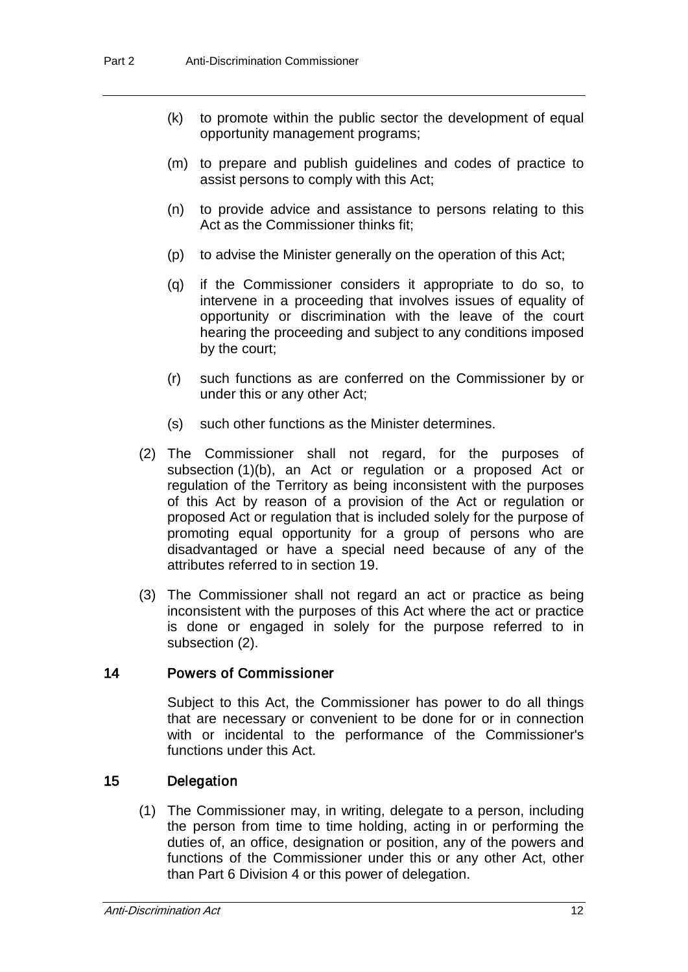- (k) to promote within the public sector the development of equal opportunity management programs;
- (m) to prepare and publish guidelines and codes of practice to assist persons to comply with this Act;
- (n) to provide advice and assistance to persons relating to this Act as the Commissioner thinks fit;
- (p) to advise the Minister generally on the operation of this Act;
- (q) if the Commissioner considers it appropriate to do so, to intervene in a proceeding that involves issues of equality of opportunity or discrimination with the leave of the court hearing the proceeding and subject to any conditions imposed by the court;
- (r) such functions as are conferred on the Commissioner by or under this or any other Act;
- (s) such other functions as the Minister determines.
- (2) The Commissioner shall not regard, for the purposes of subsection (1)(b), an Act or regulation or a proposed Act or regulation of the Territory as being inconsistent with the purposes of this Act by reason of a provision of the Act or regulation or proposed Act or regulation that is included solely for the purpose of promoting equal opportunity for a group of persons who are disadvantaged or have a special need because of any of the attributes referred to in section 19.
- (3) The Commissioner shall not regard an act or practice as being inconsistent with the purposes of this Act where the act or practice is done or engaged in solely for the purpose referred to in subsection (2).

### 14 Powers of Commissioner

Subject to this Act, the Commissioner has power to do all things that are necessary or convenient to be done for or in connection with or incidental to the performance of the Commissioner's functions under this Act.

### 15 Delegation

(1) The Commissioner may, in writing, delegate to a person, including the person from time to time holding, acting in or performing the duties of, an office, designation or position, any of the powers and functions of the Commissioner under this or any other Act, other than Part 6 Division 4 or this power of delegation.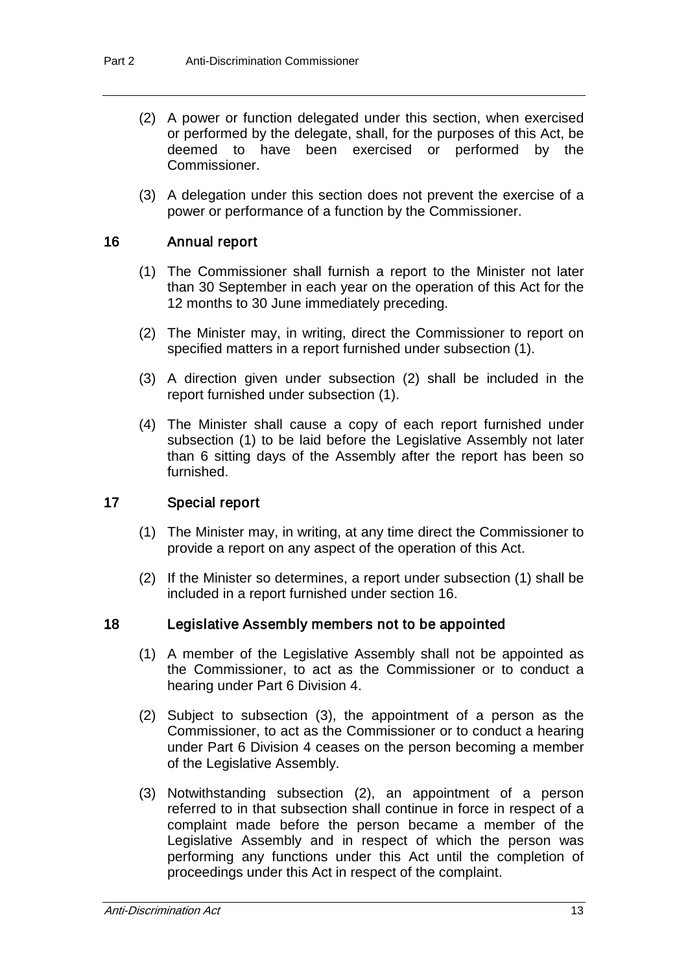- (2) A power or function delegated under this section, when exercised or performed by the delegate, shall, for the purposes of this Act, be deemed to have been exercised or performed by the Commissioner.
- (3) A delegation under this section does not prevent the exercise of a power or performance of a function by the Commissioner.

### 16 Annual report

- (1) The Commissioner shall furnish a report to the Minister not later than 30 September in each year on the operation of this Act for the 12 months to 30 June immediately preceding.
- (2) The Minister may, in writing, direct the Commissioner to report on specified matters in a report furnished under subsection (1).
- (3) A direction given under subsection (2) shall be included in the report furnished under subsection (1).
- (4) The Minister shall cause a copy of each report furnished under subsection (1) to be laid before the Legislative Assembly not later than 6 sitting days of the Assembly after the report has been so furnished.

#### 17 Special report

- (1) The Minister may, in writing, at any time direct the Commissioner to provide a report on any aspect of the operation of this Act.
- (2) If the Minister so determines, a report under subsection (1) shall be included in a report furnished under section 16.

#### 18 Legislative Assembly members not to be appointed

- (1) A member of the Legislative Assembly shall not be appointed as the Commissioner, to act as the Commissioner or to conduct a hearing under Part 6 Division 4.
- (2) Subject to subsection (3), the appointment of a person as the Commissioner, to act as the Commissioner or to conduct a hearing under Part 6 Division 4 ceases on the person becoming a member of the Legislative Assembly.
- (3) Notwithstanding subsection (2), an appointment of a person referred to in that subsection shall continue in force in respect of a complaint made before the person became a member of the Legislative Assembly and in respect of which the person was performing any functions under this Act until the completion of proceedings under this Act in respect of the complaint.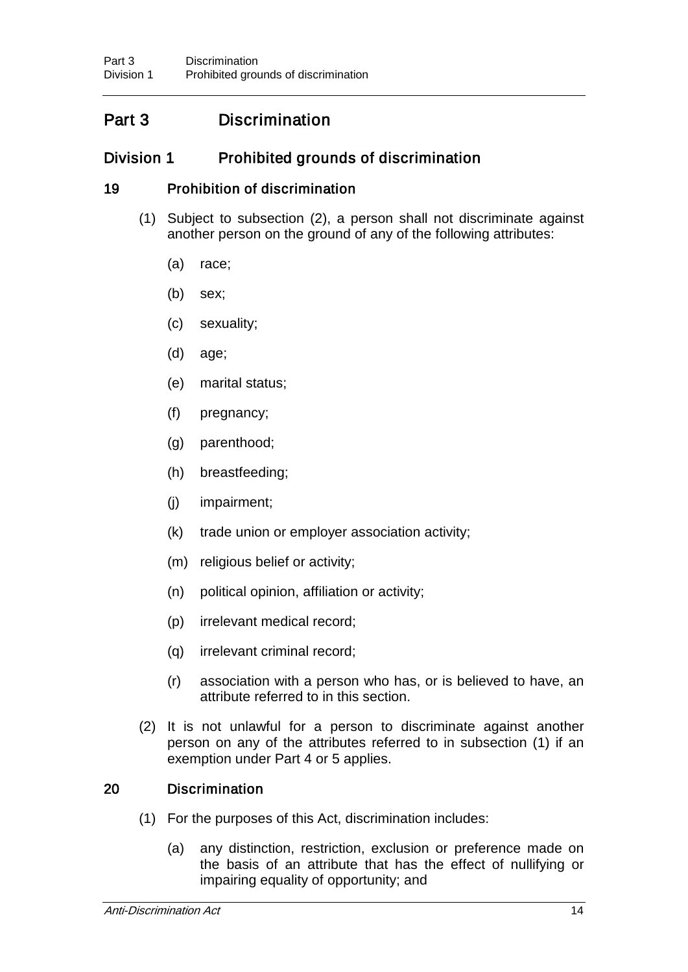## Part 3 Discrimination

## Division 1 Prohibited grounds of discrimination

### 19 Prohibition of discrimination

- (1) Subject to subsection (2), a person shall not discriminate against another person on the ground of any of the following attributes:
	- (a) race;
	- (b) sex;
	- (c) sexuality;
	- (d) age;
	- (e) marital status;
	- (f) pregnancy;
	- (g) parenthood;
	- (h) breastfeeding;
	- (j) impairment;
	- (k) trade union or employer association activity;
	- (m) religious belief or activity;
	- (n) political opinion, affiliation or activity;
	- (p) irrelevant medical record;
	- (q) irrelevant criminal record;
	- (r) association with a person who has, or is believed to have, an attribute referred to in this section.
- (2) It is not unlawful for a person to discriminate against another person on any of the attributes referred to in subsection (1) if an exemption under Part 4 or 5 applies.

### 20 Discrimination

- (1) For the purposes of this Act, discrimination includes:
	- (a) any distinction, restriction, exclusion or preference made on the basis of an attribute that has the effect of nullifying or impairing equality of opportunity; and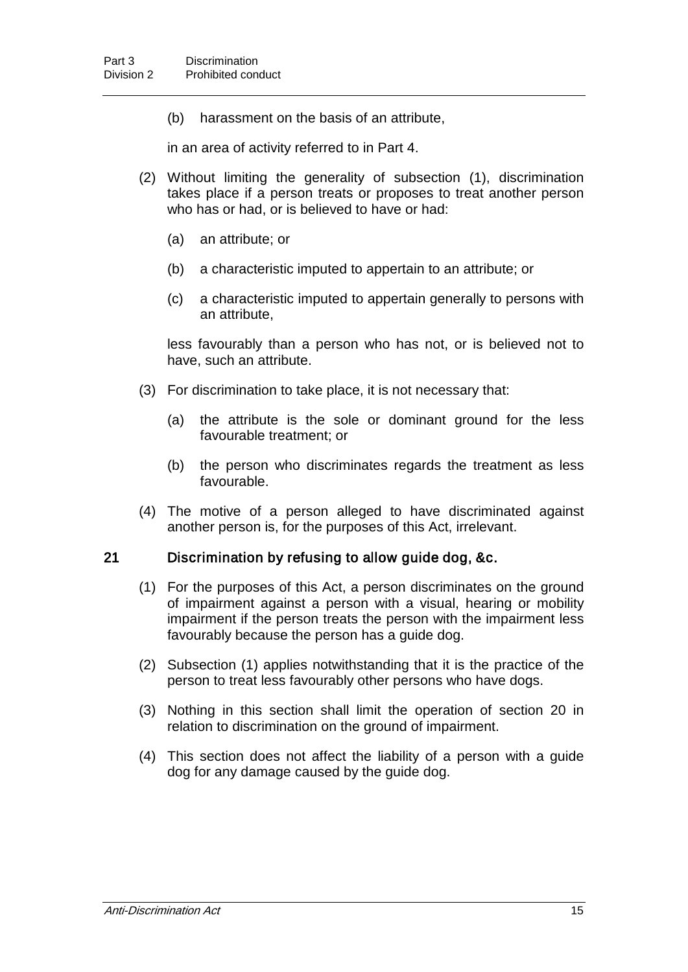(b) harassment on the basis of an attribute,

in an area of activity referred to in Part 4.

- (2) Without limiting the generality of subsection (1), discrimination takes place if a person treats or proposes to treat another person who has or had, or is believed to have or had:
	- (a) an attribute; or
	- (b) a characteristic imputed to appertain to an attribute; or
	- (c) a characteristic imputed to appertain generally to persons with an attribute,

less favourably than a person who has not, or is believed not to have, such an attribute.

- (3) For discrimination to take place, it is not necessary that:
	- (a) the attribute is the sole or dominant ground for the less favourable treatment; or
	- (b) the person who discriminates regards the treatment as less favourable.
- (4) The motive of a person alleged to have discriminated against another person is, for the purposes of this Act, irrelevant.

#### 21 Discrimination by refusing to allow guide dog, &c.

- (1) For the purposes of this Act, a person discriminates on the ground of impairment against a person with a visual, hearing or mobility impairment if the person treats the person with the impairment less favourably because the person has a guide dog.
- (2) Subsection (1) applies notwithstanding that it is the practice of the person to treat less favourably other persons who have dogs.
- (3) Nothing in this section shall limit the operation of section 20 in relation to discrimination on the ground of impairment.
- (4) This section does not affect the liability of a person with a guide dog for any damage caused by the guide dog.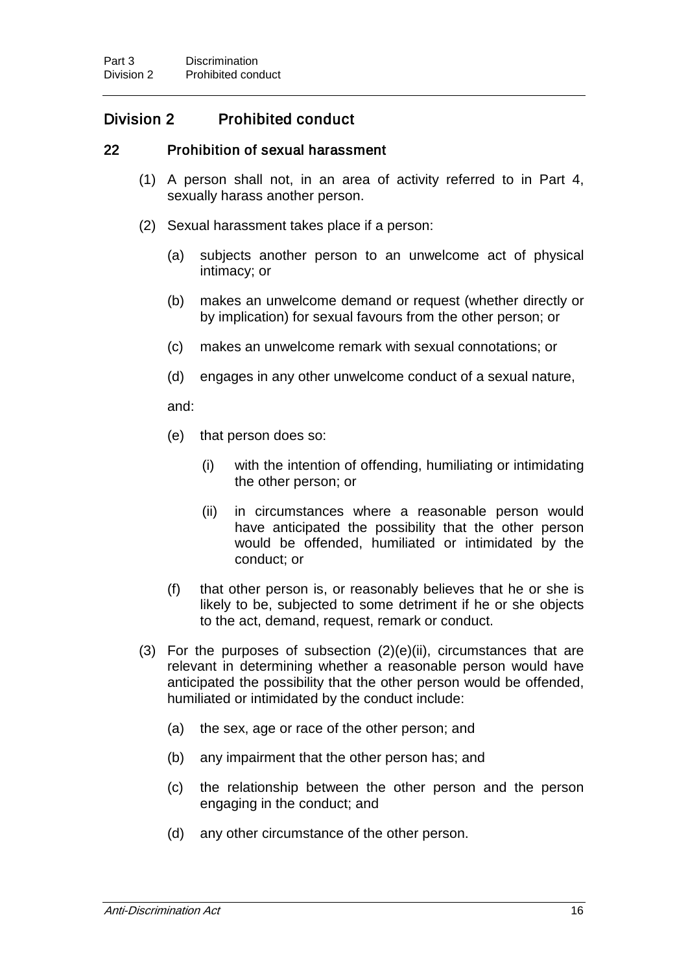## Division 2 Prohibited conduct

#### 22 Prohibition of sexual harassment

- (1) A person shall not, in an area of activity referred to in Part 4, sexually harass another person.
- (2) Sexual harassment takes place if a person:
	- (a) subjects another person to an unwelcome act of physical intimacy; or
	- (b) makes an unwelcome demand or request (whether directly or by implication) for sexual favours from the other person; or
	- (c) makes an unwelcome remark with sexual connotations; or
	- (d) engages in any other unwelcome conduct of a sexual nature,

and:

- (e) that person does so:
	- (i) with the intention of offending, humiliating or intimidating the other person; or
	- (ii) in circumstances where a reasonable person would have anticipated the possibility that the other person would be offended, humiliated or intimidated by the conduct; or
- (f) that other person is, or reasonably believes that he or she is likely to be, subjected to some detriment if he or she objects to the act, demand, request, remark or conduct.
- (3) For the purposes of subsection  $(2)(e)(ii)$ , circumstances that are relevant in determining whether a reasonable person would have anticipated the possibility that the other person would be offended, humiliated or intimidated by the conduct include:
	- (a) the sex, age or race of the other person; and
	- (b) any impairment that the other person has; and
	- (c) the relationship between the other person and the person engaging in the conduct; and
	- (d) any other circumstance of the other person.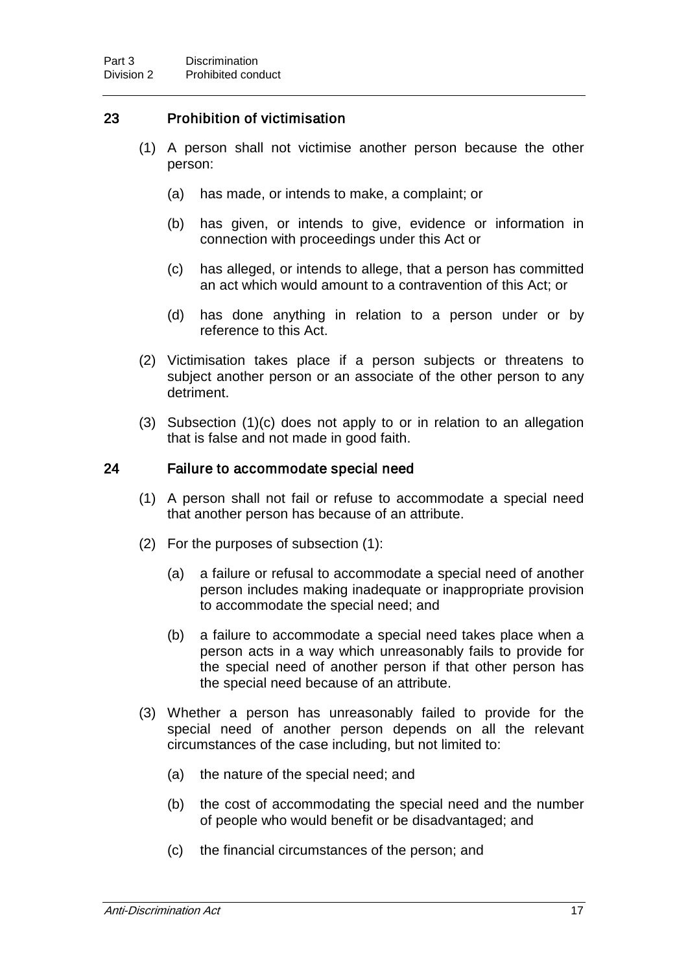## 23 Prohibition of victimisation

- (1) A person shall not victimise another person because the other person:
	- (a) has made, or intends to make, a complaint; or
	- (b) has given, or intends to give, evidence or information in connection with proceedings under this Act or
	- (c) has alleged, or intends to allege, that a person has committed an act which would amount to a contravention of this Act; or
	- (d) has done anything in relation to a person under or by reference to this Act.
- (2) Victimisation takes place if a person subjects or threatens to subject another person or an associate of the other person to any detriment.
- (3) Subsection (1)(c) does not apply to or in relation to an allegation that is false and not made in good faith.

#### 24 Failure to accommodate special need

- (1) A person shall not fail or refuse to accommodate a special need that another person has because of an attribute.
- (2) For the purposes of subsection (1):
	- (a) a failure or refusal to accommodate a special need of another person includes making inadequate or inappropriate provision to accommodate the special need; and
	- (b) a failure to accommodate a special need takes place when a person acts in a way which unreasonably fails to provide for the special need of another person if that other person has the special need because of an attribute.
- (3) Whether a person has unreasonably failed to provide for the special need of another person depends on all the relevant circumstances of the case including, but not limited to:
	- (a) the nature of the special need; and
	- (b) the cost of accommodating the special need and the number of people who would benefit or be disadvantaged; and
	- (c) the financial circumstances of the person; and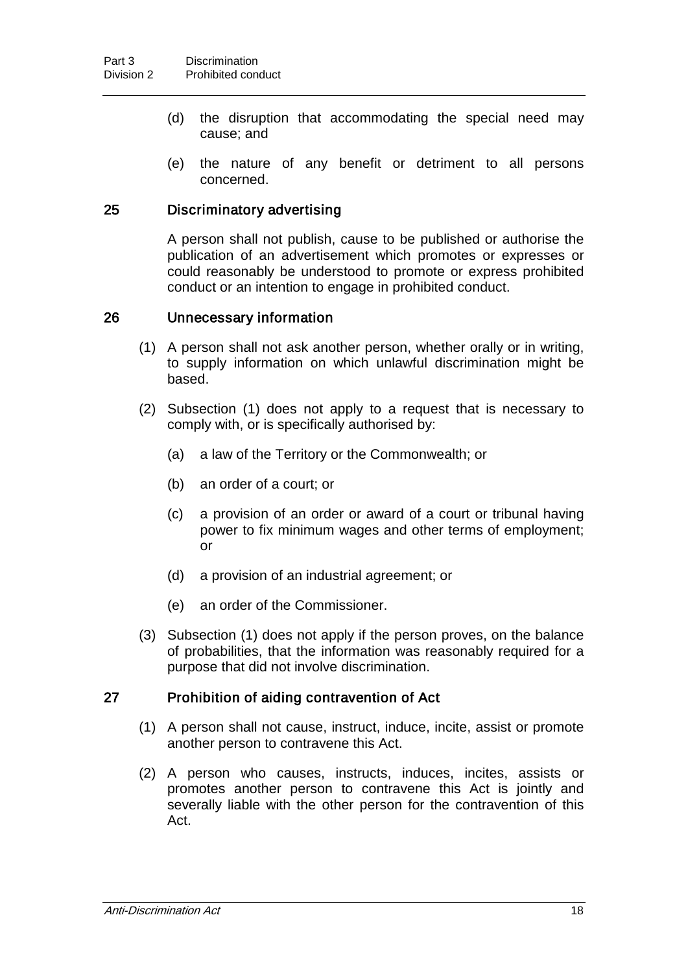- (d) the disruption that accommodating the special need may cause; and
- (e) the nature of any benefit or detriment to all persons concerned.

### 25 Discriminatory advertising

A person shall not publish, cause to be published or authorise the publication of an advertisement which promotes or expresses or could reasonably be understood to promote or express prohibited conduct or an intention to engage in prohibited conduct.

#### 26 Unnecessary information

- (1) A person shall not ask another person, whether orally or in writing, to supply information on which unlawful discrimination might be based.
- (2) Subsection (1) does not apply to a request that is necessary to comply with, or is specifically authorised by:
	- (a) a law of the Territory or the Commonwealth; or
	- (b) an order of a court; or
	- (c) a provision of an order or award of a court or tribunal having power to fix minimum wages and other terms of employment; or
	- (d) a provision of an industrial agreement; or
	- (e) an order of the Commissioner.
- (3) Subsection (1) does not apply if the person proves, on the balance of probabilities, that the information was reasonably required for a purpose that did not involve discrimination.

#### 27 Prohibition of aiding contravention of Act

- (1) A person shall not cause, instruct, induce, incite, assist or promote another person to contravene this Act.
- (2) A person who causes, instructs, induces, incites, assists or promotes another person to contravene this Act is jointly and severally liable with the other person for the contravention of this Act.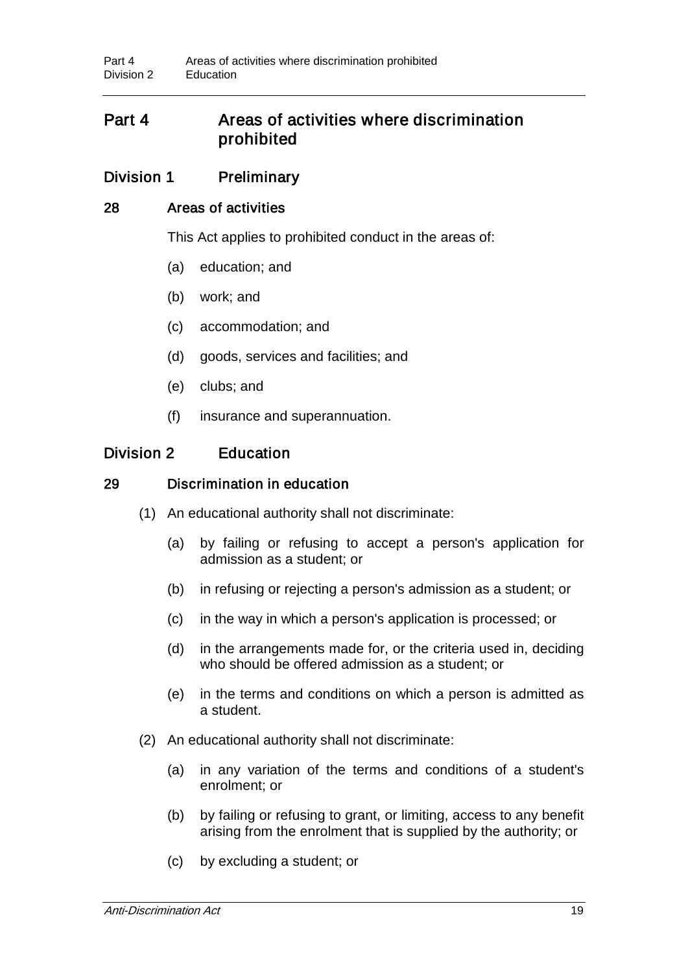## Part 4 Areas of activities where discrimination prohibited

## Division 1 Preliminary

#### 28 Areas of activities

This Act applies to prohibited conduct in the areas of:

- (a) education; and
- (b) work; and
- (c) accommodation; and
- (d) goods, services and facilities; and
- (e) clubs; and
- (f) insurance and superannuation.

## Division 2 Education

### 29 Discrimination in education

- (1) An educational authority shall not discriminate:
	- (a) by failing or refusing to accept a person's application for admission as a student; or
	- (b) in refusing or rejecting a person's admission as a student; or
	- (c) in the way in which a person's application is processed; or
	- (d) in the arrangements made for, or the criteria used in, deciding who should be offered admission as a student; or
	- (e) in the terms and conditions on which a person is admitted as a student.
- (2) An educational authority shall not discriminate:
	- (a) in any variation of the terms and conditions of a student's enrolment; or
	- (b) by failing or refusing to grant, or limiting, access to any benefit arising from the enrolment that is supplied by the authority; or
	- (c) by excluding a student; or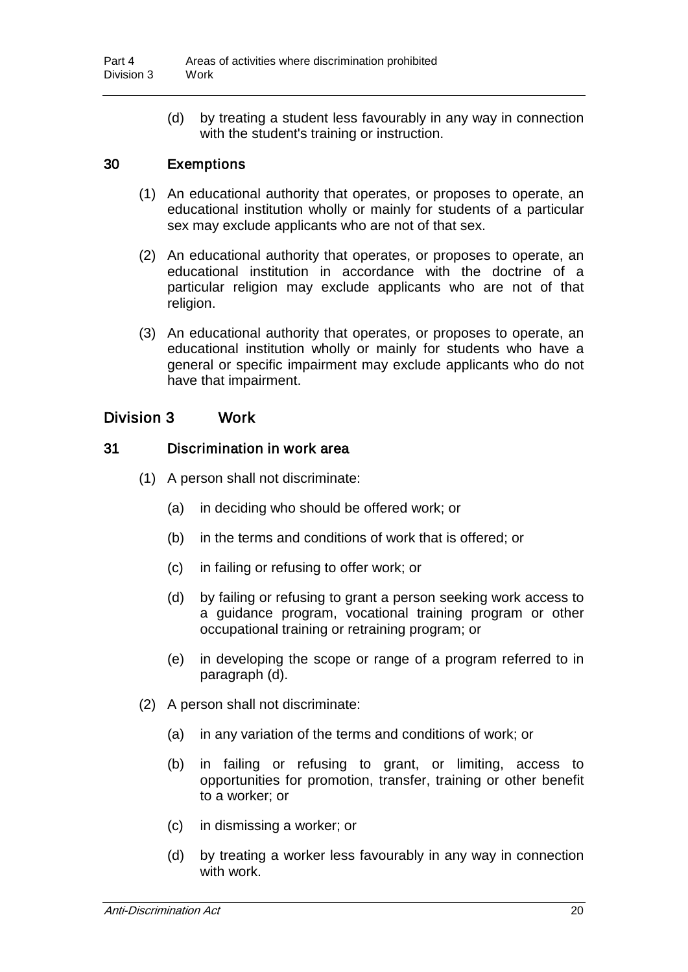(d) by treating a student less favourably in any way in connection with the student's training or instruction.

### 30 Exemptions

- (1) An educational authority that operates, or proposes to operate, an educational institution wholly or mainly for students of a particular sex may exclude applicants who are not of that sex.
- (2) An educational authority that operates, or proposes to operate, an educational institution in accordance with the doctrine of a particular religion may exclude applicants who are not of that religion.
- (3) An educational authority that operates, or proposes to operate, an educational institution wholly or mainly for students who have a general or specific impairment may exclude applicants who do not have that impairment.

## Division 3 Work

#### 31 Discrimination in work area

- (1) A person shall not discriminate:
	- (a) in deciding who should be offered work; or
	- (b) in the terms and conditions of work that is offered; or
	- (c) in failing or refusing to offer work; or
	- (d) by failing or refusing to grant a person seeking work access to a guidance program, vocational training program or other occupational training or retraining program; or
	- (e) in developing the scope or range of a program referred to in paragraph (d).
- (2) A person shall not discriminate:
	- (a) in any variation of the terms and conditions of work; or
	- (b) in failing or refusing to grant, or limiting, access to opportunities for promotion, transfer, training or other benefit to a worker; or
	- (c) in dismissing a worker; or
	- (d) by treating a worker less favourably in any way in connection with work.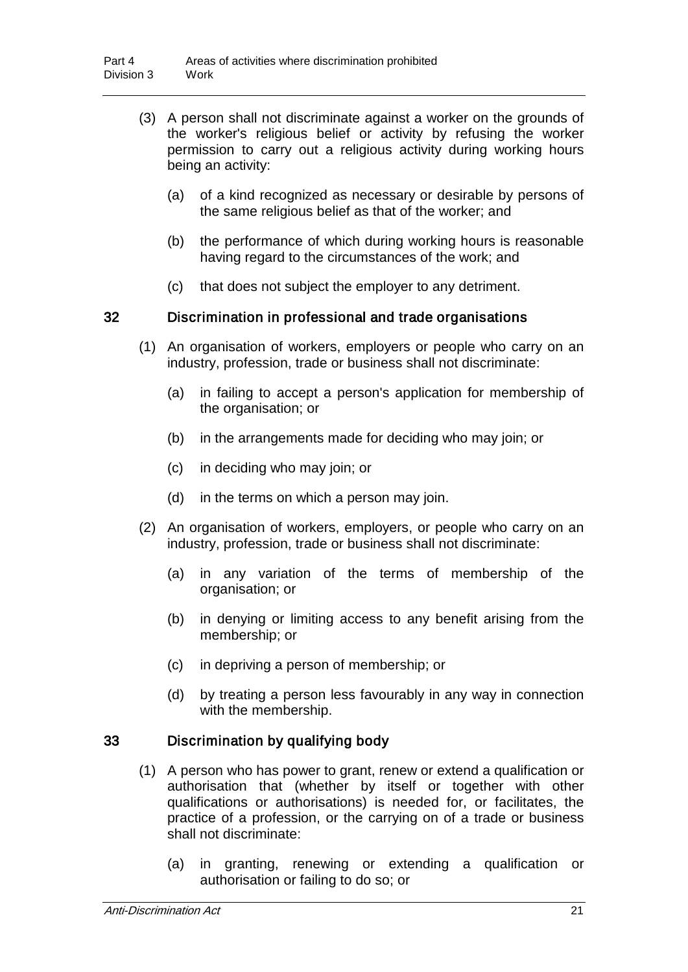- (3) A person shall not discriminate against a worker on the grounds of the worker's religious belief or activity by refusing the worker permission to carry out a religious activity during working hours being an activity:
	- (a) of a kind recognized as necessary or desirable by persons of the same religious belief as that of the worker; and
	- (b) the performance of which during working hours is reasonable having regard to the circumstances of the work; and
	- (c) that does not subject the employer to any detriment.

#### 32 Discrimination in professional and trade organisations

- (1) An organisation of workers, employers or people who carry on an industry, profession, trade or business shall not discriminate:
	- (a) in failing to accept a person's application for membership of the organisation; or
	- (b) in the arrangements made for deciding who may join; or
	- (c) in deciding who may join; or
	- (d) in the terms on which a person may join.
- (2) An organisation of workers, employers, or people who carry on an industry, profession, trade or business shall not discriminate:
	- (a) in any variation of the terms of membership of the organisation; or
	- (b) in denying or limiting access to any benefit arising from the membership; or
	- (c) in depriving a person of membership; or
	- (d) by treating a person less favourably in any way in connection with the membership.

### 33 Discrimination by qualifying body

- (1) A person who has power to grant, renew or extend a qualification or authorisation that (whether by itself or together with other qualifications or authorisations) is needed for, or facilitates, the practice of a profession, or the carrying on of a trade or business shall not discriminate:
	- (a) in granting, renewing or extending a qualification or authorisation or failing to do so; or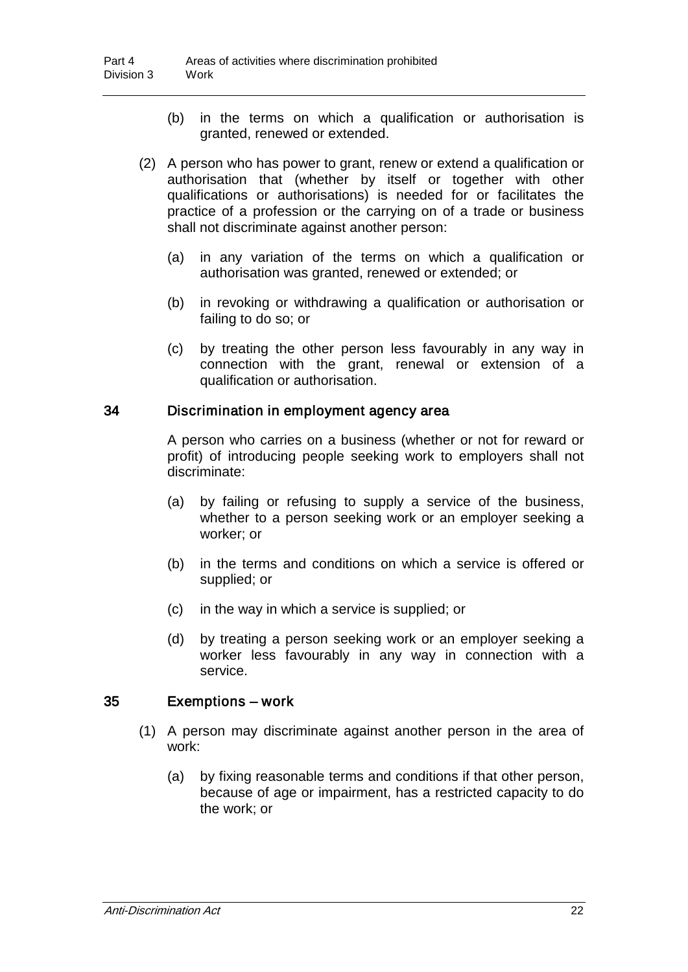- (b) in the terms on which a qualification or authorisation is granted, renewed or extended.
- (2) A person who has power to grant, renew or extend a qualification or authorisation that (whether by itself or together with other qualifications or authorisations) is needed for or facilitates the practice of a profession or the carrying on of a trade or business shall not discriminate against another person:
	- (a) in any variation of the terms on which a qualification or authorisation was granted, renewed or extended; or
	- (b) in revoking or withdrawing a qualification or authorisation or failing to do so; or
	- (c) by treating the other person less favourably in any way in connection with the grant, renewal or extension of a qualification or authorisation.

#### 34 Discrimination in employment agency area

A person who carries on a business (whether or not for reward or profit) of introducing people seeking work to employers shall not discriminate:

- (a) by failing or refusing to supply a service of the business, whether to a person seeking work or an employer seeking a worker; or
- (b) in the terms and conditions on which a service is offered or supplied; or
- (c) in the way in which a service is supplied; or
- (d) by treating a person seeking work or an employer seeking a worker less favourably in any way in connection with a service.

#### 35 Exemptions – work

- (1) A person may discriminate against another person in the area of work:
	- (a) by fixing reasonable terms and conditions if that other person, because of age or impairment, has a restricted capacity to do the work; or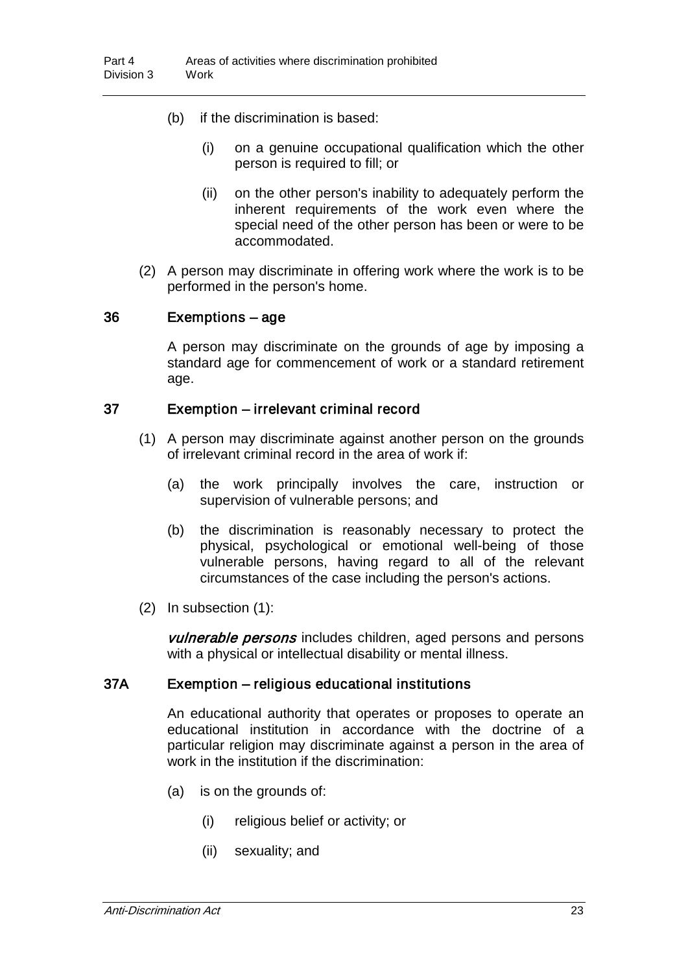- (b) if the discrimination is based:
	- (i) on a genuine occupational qualification which the other person is required to fill; or
	- (ii) on the other person's inability to adequately perform the inherent requirements of the work even where the special need of the other person has been or were to be accommodated.
- (2) A person may discriminate in offering work where the work is to be performed in the person's home.

#### 36 Exemptions – age

A person may discriminate on the grounds of age by imposing a standard age for commencement of work or a standard retirement age.

#### 37 Exemption – irrelevant criminal record

- (1) A person may discriminate against another person on the grounds of irrelevant criminal record in the area of work if:
	- (a) the work principally involves the care, instruction or supervision of vulnerable persons; and
	- (b) the discrimination is reasonably necessary to protect the physical, psychological or emotional well-being of those vulnerable persons, having regard to all of the relevant circumstances of the case including the person's actions.
- (2) In subsection (1):

vulnerable persons includes children, aged persons and persons with a physical or intellectual disability or mental illness.

#### 37A Exemption – religious educational institutions

An educational authority that operates or proposes to operate an educational institution in accordance with the doctrine of a particular religion may discriminate against a person in the area of work in the institution if the discrimination:

- (a) is on the grounds of:
	- (i) religious belief or activity; or
	- (ii) sexuality; and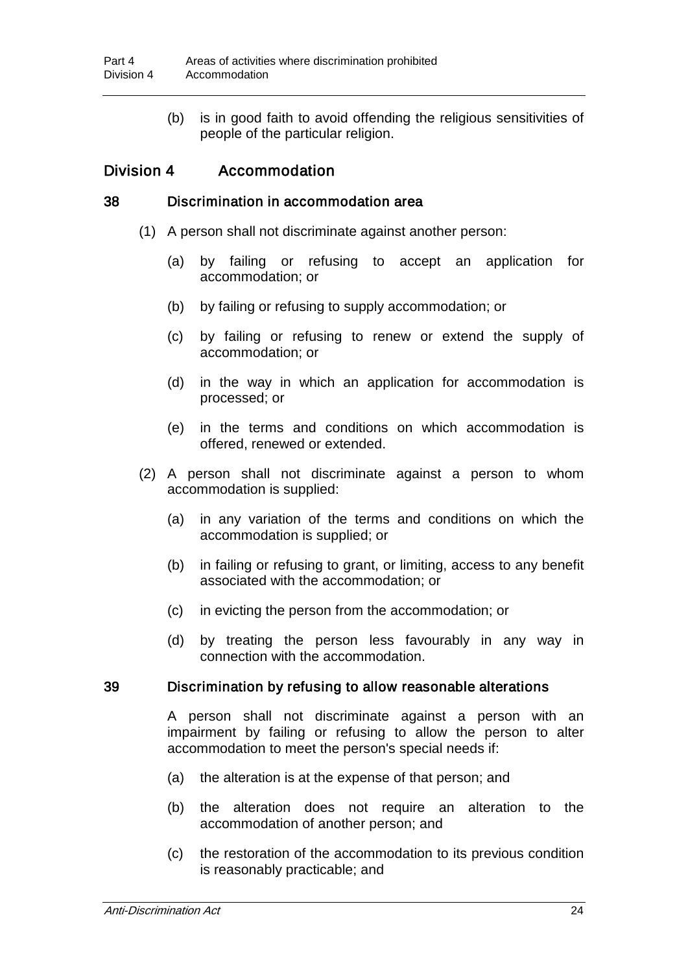(b) is in good faith to avoid offending the religious sensitivities of people of the particular religion.

## Division 4 Accommodation

#### 38 Discrimination in accommodation area

- (1) A person shall not discriminate against another person:
	- (a) by failing or refusing to accept an application for accommodation; or
	- (b) by failing or refusing to supply accommodation; or
	- (c) by failing or refusing to renew or extend the supply of accommodation; or
	- (d) in the way in which an application for accommodation is processed; or
	- (e) in the terms and conditions on which accommodation is offered, renewed or extended.
- (2) A person shall not discriminate against a person to whom accommodation is supplied:
	- (a) in any variation of the terms and conditions on which the accommodation is supplied; or
	- (b) in failing or refusing to grant, or limiting, access to any benefit associated with the accommodation; or
	- (c) in evicting the person from the accommodation; or
	- (d) by treating the person less favourably in any way in connection with the accommodation.

#### 39 Discrimination by refusing to allow reasonable alterations

A person shall not discriminate against a person with an impairment by failing or refusing to allow the person to alter accommodation to meet the person's special needs if:

- (a) the alteration is at the expense of that person; and
- (b) the alteration does not require an alteration to the accommodation of another person; and
- (c) the restoration of the accommodation to its previous condition is reasonably practicable; and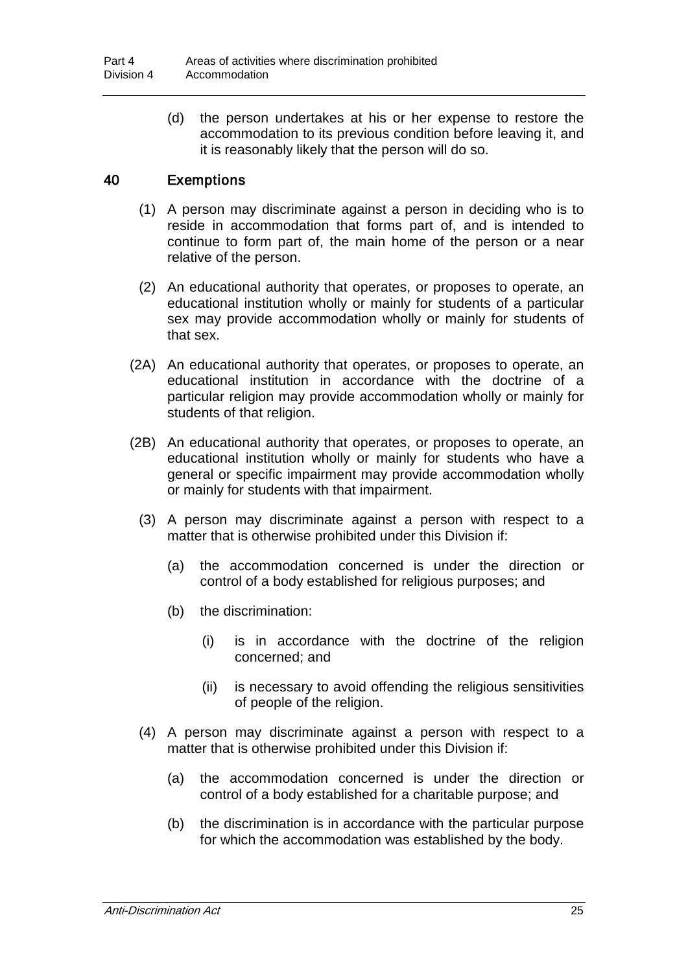(d) the person undertakes at his or her expense to restore the accommodation to its previous condition before leaving it, and it is reasonably likely that the person will do so.

## 40 Exemptions

- (1) A person may discriminate against a person in deciding who is to reside in accommodation that forms part of, and is intended to continue to form part of, the main home of the person or a near relative of the person.
- (2) An educational authority that operates, or proposes to operate, an educational institution wholly or mainly for students of a particular sex may provide accommodation wholly or mainly for students of that sex.
- (2A) An educational authority that operates, or proposes to operate, an educational institution in accordance with the doctrine of a particular religion may provide accommodation wholly or mainly for students of that religion.
- (2B) An educational authority that operates, or proposes to operate, an educational institution wholly or mainly for students who have a general or specific impairment may provide accommodation wholly or mainly for students with that impairment.
	- (3) A person may discriminate against a person with respect to a matter that is otherwise prohibited under this Division if:
		- (a) the accommodation concerned is under the direction or control of a body established for religious purposes; and
		- (b) the discrimination:
			- (i) is in accordance with the doctrine of the religion concerned; and
			- (ii) is necessary to avoid offending the religious sensitivities of people of the religion.
	- (4) A person may discriminate against a person with respect to a matter that is otherwise prohibited under this Division if:
		- (a) the accommodation concerned is under the direction or control of a body established for a charitable purpose; and
		- (b) the discrimination is in accordance with the particular purpose for which the accommodation was established by the body.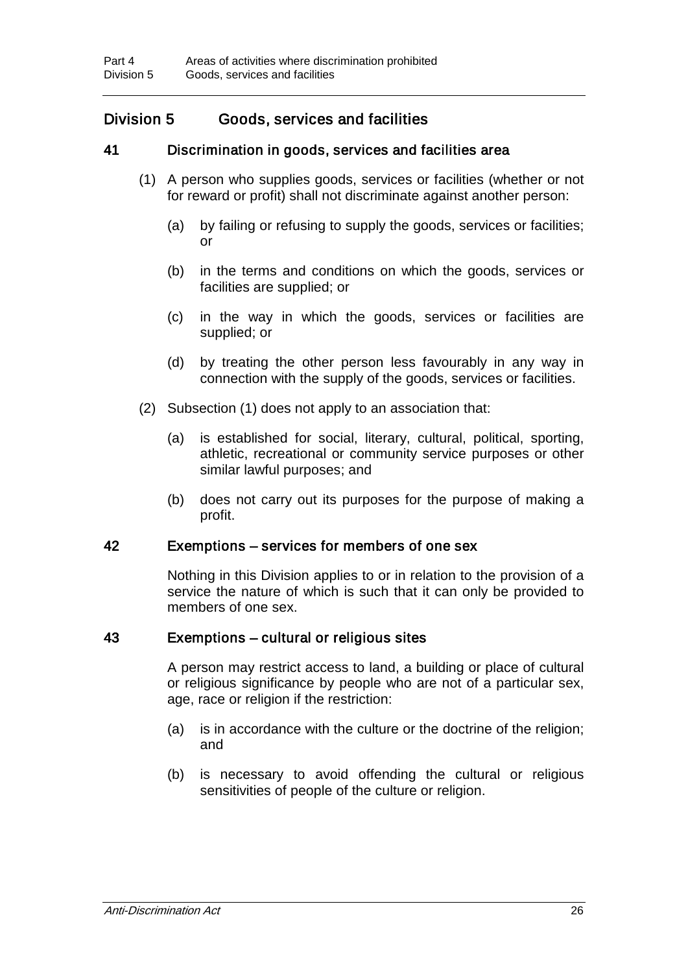## Division 5 Goods, services and facilities

### 41 Discrimination in goods, services and facilities area

- (1) A person who supplies goods, services or facilities (whether or not for reward or profit) shall not discriminate against another person:
	- (a) by failing or refusing to supply the goods, services or facilities; or
	- (b) in the terms and conditions on which the goods, services or facilities are supplied; or
	- (c) in the way in which the goods, services or facilities are supplied; or
	- (d) by treating the other person less favourably in any way in connection with the supply of the goods, services or facilities.
- (2) Subsection (1) does not apply to an association that:
	- (a) is established for social, literary, cultural, political, sporting, athletic, recreational or community service purposes or other similar lawful purposes; and
	- (b) does not carry out its purposes for the purpose of making a profit.

#### 42 Exemptions – services for members of one sex

Nothing in this Division applies to or in relation to the provision of a service the nature of which is such that it can only be provided to members of one sex.

#### 43 Exemptions – cultural or religious sites

A person may restrict access to land, a building or place of cultural or religious significance by people who are not of a particular sex, age, race or religion if the restriction:

- (a) is in accordance with the culture or the doctrine of the religion; and
- (b) is necessary to avoid offending the cultural or religious sensitivities of people of the culture or religion.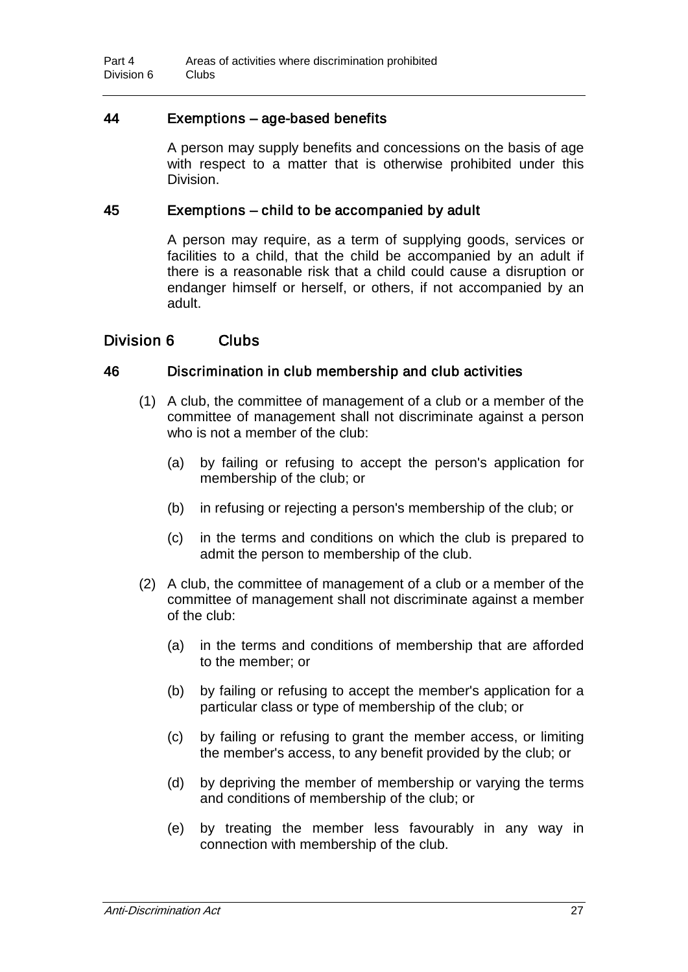### 44 Exemptions – age-based benefits

A person may supply benefits and concessions on the basis of age with respect to a matter that is otherwise prohibited under this Division.

#### 45 Exemptions – child to be accompanied by adult

A person may require, as a term of supplying goods, services or facilities to a child, that the child be accompanied by an adult if there is a reasonable risk that a child could cause a disruption or endanger himself or herself, or others, if not accompanied by an adult.

#### Division 6 Clubs

#### 46 Discrimination in club membership and club activities

- (1) A club, the committee of management of a club or a member of the committee of management shall not discriminate against a person who is not a member of the club:
	- (a) by failing or refusing to accept the person's application for membership of the club; or
	- (b) in refusing or rejecting a person's membership of the club; or
	- (c) in the terms and conditions on which the club is prepared to admit the person to membership of the club.
- (2) A club, the committee of management of a club or a member of the committee of management shall not discriminate against a member of the club:
	- (a) in the terms and conditions of membership that are afforded to the member; or
	- (b) by failing or refusing to accept the member's application for a particular class or type of membership of the club; or
	- (c) by failing or refusing to grant the member access, or limiting the member's access, to any benefit provided by the club; or
	- (d) by depriving the member of membership or varying the terms and conditions of membership of the club; or
	- (e) by treating the member less favourably in any way in connection with membership of the club.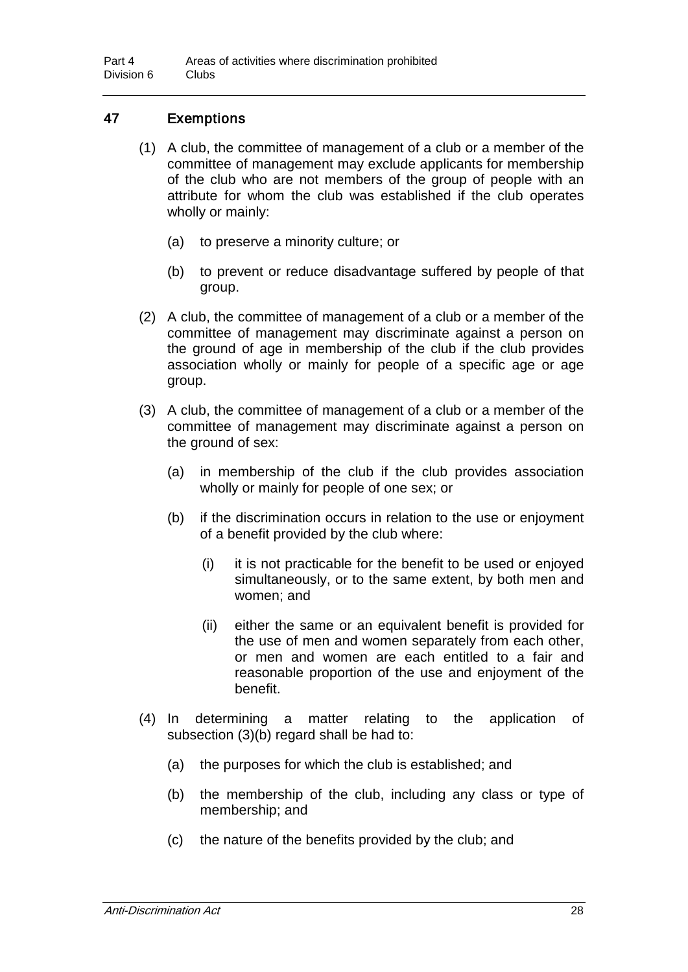## 47 Exemptions

- (1) A club, the committee of management of a club or a member of the committee of management may exclude applicants for membership of the club who are not members of the group of people with an attribute for whom the club was established if the club operates wholly or mainly:
	- (a) to preserve a minority culture; or
	- (b) to prevent or reduce disadvantage suffered by people of that group.
- (2) A club, the committee of management of a club or a member of the committee of management may discriminate against a person on the ground of age in membership of the club if the club provides association wholly or mainly for people of a specific age or age group.
- (3) A club, the committee of management of a club or a member of the committee of management may discriminate against a person on the ground of sex:
	- (a) in membership of the club if the club provides association wholly or mainly for people of one sex; or
	- (b) if the discrimination occurs in relation to the use or enjoyment of a benefit provided by the club where:
		- (i) it is not practicable for the benefit to be used or enjoyed simultaneously, or to the same extent, by both men and women; and
		- (ii) either the same or an equivalent benefit is provided for the use of men and women separately from each other, or men and women are each entitled to a fair and reasonable proportion of the use and enjoyment of the benefit.
- (4) In determining a matter relating to the application of subsection (3)(b) regard shall be had to:
	- (a) the purposes for which the club is established; and
	- (b) the membership of the club, including any class or type of membership; and
	- (c) the nature of the benefits provided by the club; and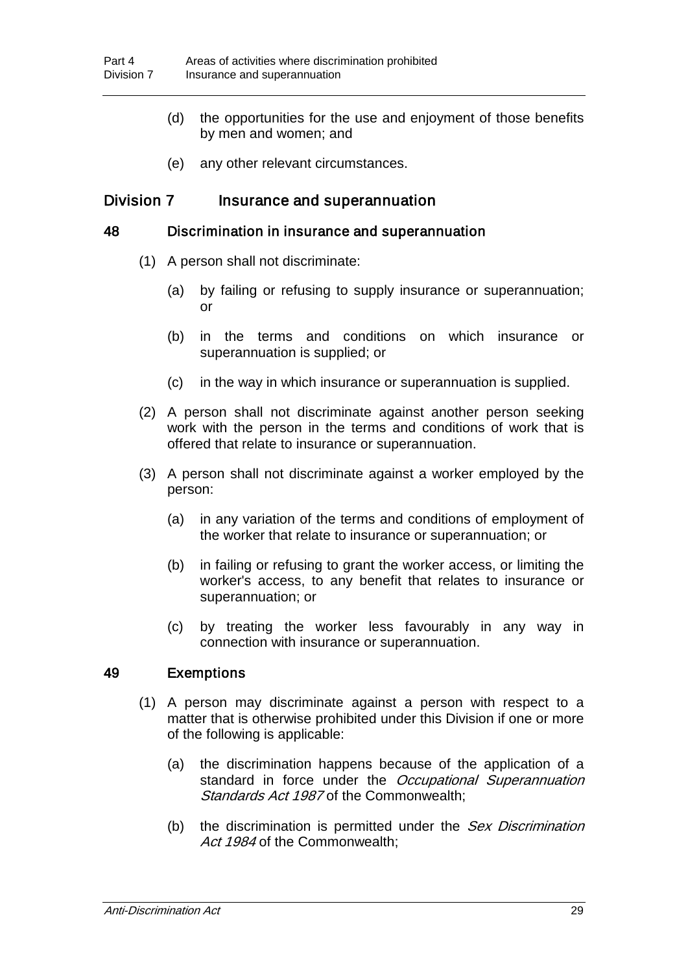- (d) the opportunities for the use and enjoyment of those benefits by men and women; and
- (e) any other relevant circumstances.

#### Division 7 Insurance and superannuation

#### 48 Discrimination in insurance and superannuation

- (1) A person shall not discriminate:
	- (a) by failing or refusing to supply insurance or superannuation; or
	- (b) in the terms and conditions on which insurance or superannuation is supplied; or
	- (c) in the way in which insurance or superannuation is supplied.
- (2) A person shall not discriminate against another person seeking work with the person in the terms and conditions of work that is offered that relate to insurance or superannuation.
- (3) A person shall not discriminate against a worker employed by the person:
	- (a) in any variation of the terms and conditions of employment of the worker that relate to insurance or superannuation; or
	- (b) in failing or refusing to grant the worker access, or limiting the worker's access, to any benefit that relates to insurance or superannuation; or
	- (c) by treating the worker less favourably in any way in connection with insurance or superannuation.

#### 49 Exemptions

- (1) A person may discriminate against a person with respect to a matter that is otherwise prohibited under this Division if one or more of the following is applicable:
	- (a) the discrimination happens because of the application of a standard in force under the Occupational Superannuation Standards Act 1987 of the Commonwealth:
	- (b) the discrimination is permitted under the Sex Discrimination Act 1984 of the Commonwealth: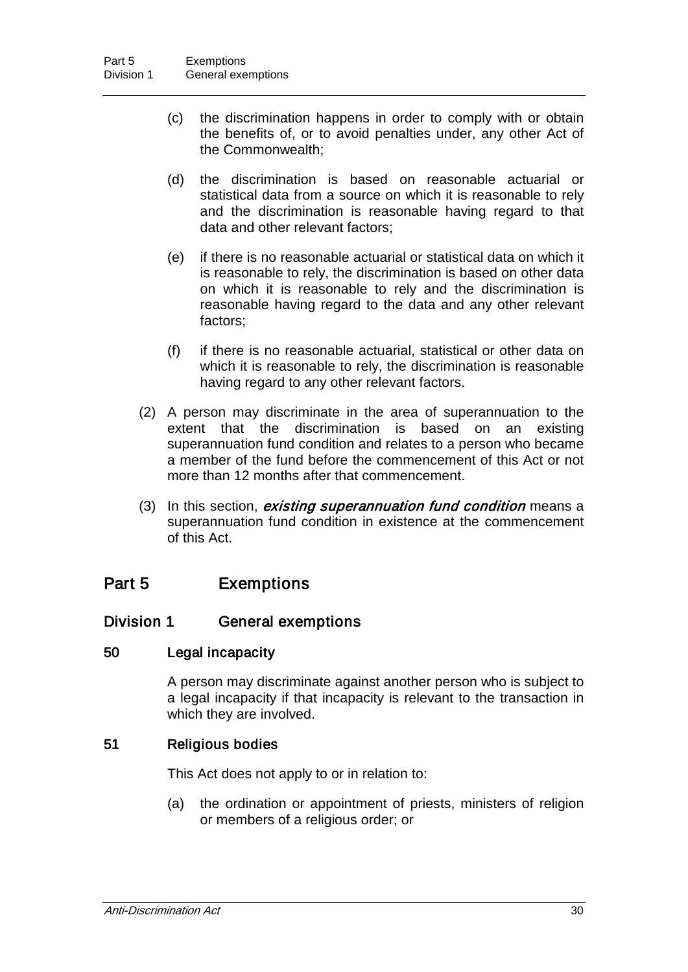- (c) the discrimination happens in order to comply with or obtain the benefits of, or to avoid penalties under, any other Act of the Commonwealth;
- (d) the discrimination is based on reasonable actuarial or statistical data from a source on which it is reasonable to rely and the discrimination is reasonable having regard to that data and other relevant factors;
- (e) if there is no reasonable actuarial or statistical data on which it is reasonable to rely, the discrimination is based on other data on which it is reasonable to rely and the discrimination is reasonable having regard to the data and any other relevant factors;
- (f) if there is no reasonable actuarial, statistical or other data on which it is reasonable to rely, the discrimination is reasonable having regard to any other relevant factors.
- (2) A person may discriminate in the area of superannuation to the extent that the discrimination is based on an existing superannuation fund condition and relates to a person who became a member of the fund before the commencement of this Act or not more than 12 months after that commencement.
- (3) In this section, *existing superannuation fund condition* means a superannuation fund condition in existence at the commencement of this Act.

## Part 5 Exemptions

## Division 1 General exemptions

### 50 Legal incapacity

A person may discriminate against another person who is subject to a legal incapacity if that incapacity is relevant to the transaction in which they are involved.

### 51 Religious bodies

This Act does not apply to or in relation to:

(a) the ordination or appointment of priests, ministers of religion or members of a religious order; or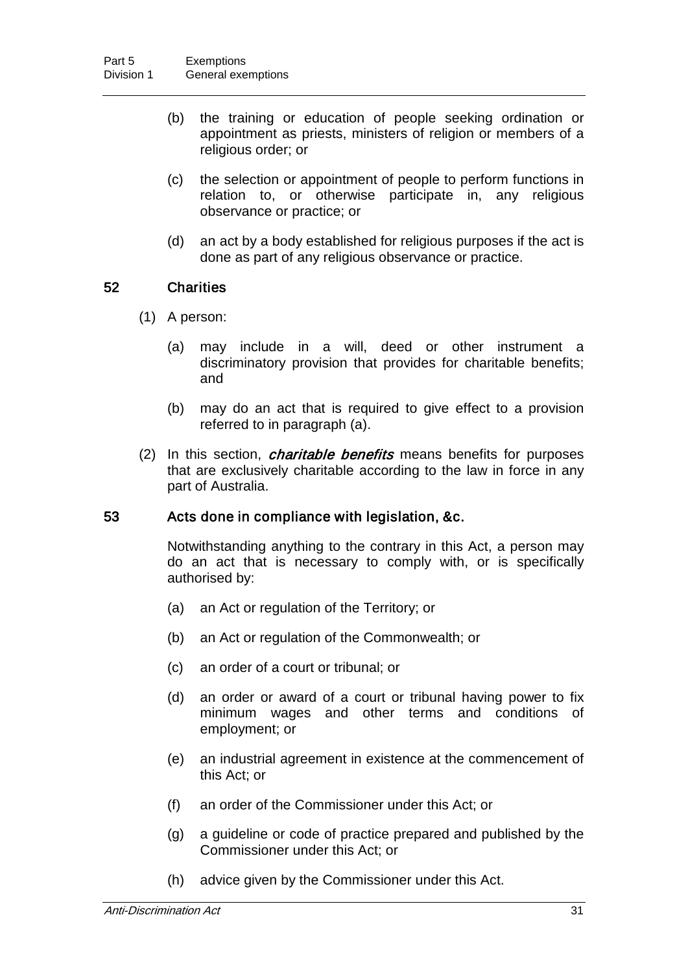- (b) the training or education of people seeking ordination or appointment as priests, ministers of religion or members of a religious order; or
- (c) the selection or appointment of people to perform functions in relation to, or otherwise participate in, any religious observance or practice; or
- (d) an act by a body established for religious purposes if the act is done as part of any religious observance or practice.

#### 52 Charities

- (1) A person:
	- (a) may include in a will, deed or other instrument a discriminatory provision that provides for charitable benefits; and
	- (b) may do an act that is required to give effect to a provision referred to in paragraph (a).
- (2) In this section, *charitable benefits* means benefits for purposes that are exclusively charitable according to the law in force in any part of Australia.

#### 53 Acts done in compliance with legislation, &c.

Notwithstanding anything to the contrary in this Act, a person may do an act that is necessary to comply with, or is specifically authorised by:

- (a) an Act or regulation of the Territory; or
- (b) an Act or regulation of the Commonwealth; or
- (c) an order of a court or tribunal; or
- (d) an order or award of a court or tribunal having power to fix minimum wages and other terms and conditions of employment; or
- (e) an industrial agreement in existence at the commencement of this Act; or
- (f) an order of the Commissioner under this Act; or
- (g) a guideline or code of practice prepared and published by the Commissioner under this Act; or
- (h) advice given by the Commissioner under this Act.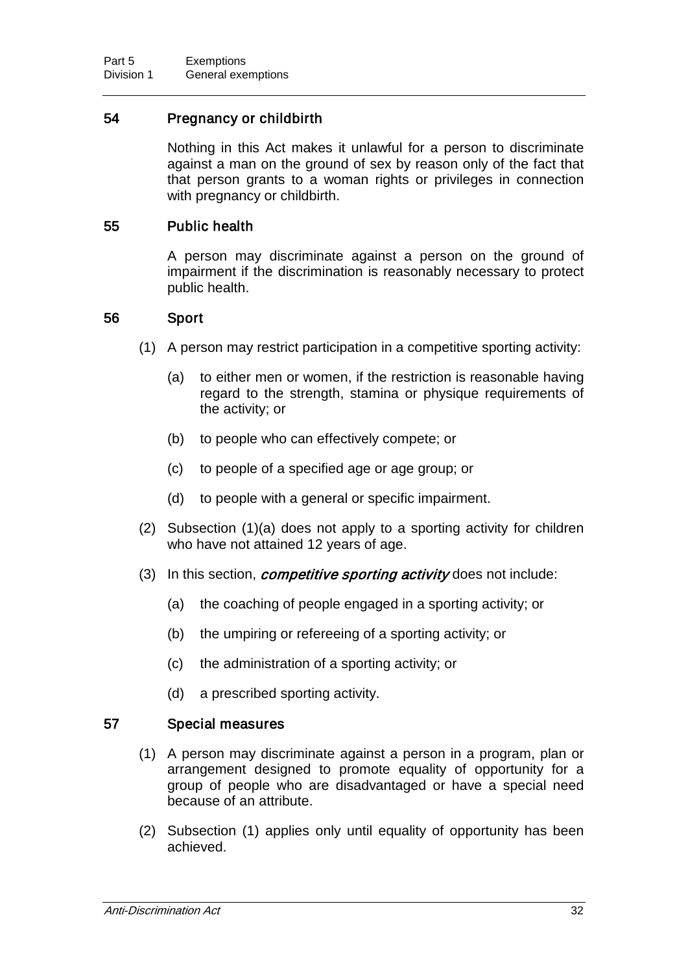### 54 Pregnancy or childbirth

Nothing in this Act makes it unlawful for a person to discriminate against a man on the ground of sex by reason only of the fact that that person grants to a woman rights or privileges in connection with pregnancy or childbirth.

#### 55 Public health

A person may discriminate against a person on the ground of impairment if the discrimination is reasonably necessary to protect public health.

#### 56 Sport

- (1) A person may restrict participation in a competitive sporting activity:
	- (a) to either men or women, if the restriction is reasonable having regard to the strength, stamina or physique requirements of the activity; or
	- (b) to people who can effectively compete; or
	- (c) to people of a specified age or age group; or
	- (d) to people with a general or specific impairment.
- (2) Subsection (1)(a) does not apply to a sporting activity for children who have not attained 12 years of age.
- (3) In this section, *competitive sporting activity* does not include:
	- (a) the coaching of people engaged in a sporting activity; or
	- (b) the umpiring or refereeing of a sporting activity; or
	- (c) the administration of a sporting activity; or
	- (d) a prescribed sporting activity.

#### 57 Special measures

- (1) A person may discriminate against a person in a program, plan or arrangement designed to promote equality of opportunity for a group of people who are disadvantaged or have a special need because of an attribute.
- (2) Subsection (1) applies only until equality of opportunity has been achieved.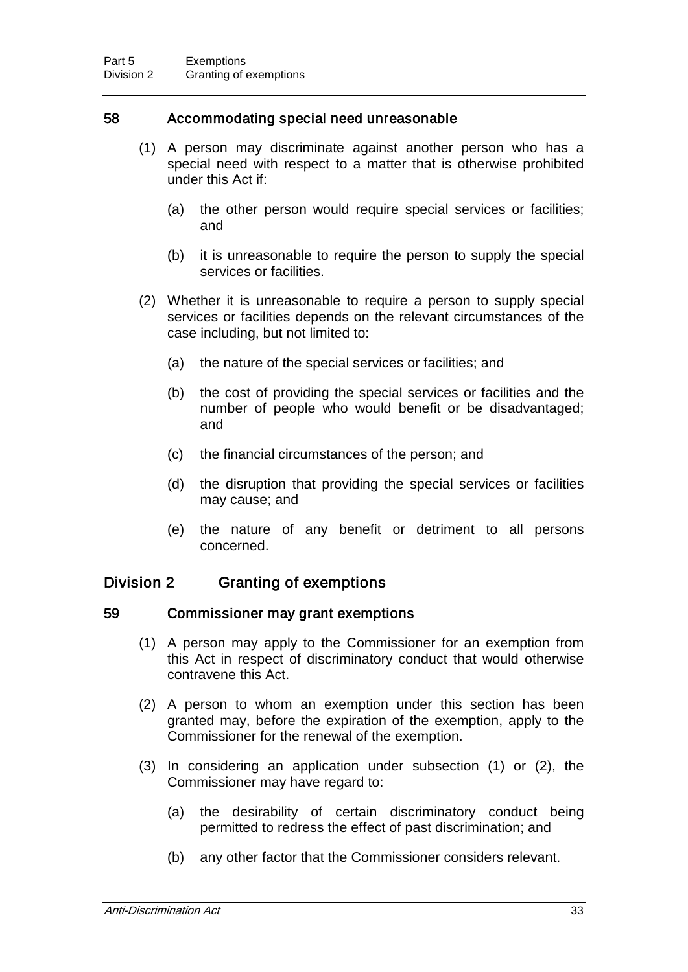#### 58 Accommodating special need unreasonable

- (1) A person may discriminate against another person who has a special need with respect to a matter that is otherwise prohibited under this Act if:
	- (a) the other person would require special services or facilities; and
	- (b) it is unreasonable to require the person to supply the special services or facilities.
- (2) Whether it is unreasonable to require a person to supply special services or facilities depends on the relevant circumstances of the case including, but not limited to:
	- (a) the nature of the special services or facilities; and
	- (b) the cost of providing the special services or facilities and the number of people who would benefit or be disadvantaged; and
	- (c) the financial circumstances of the person; and
	- (d) the disruption that providing the special services or facilities may cause; and
	- (e) the nature of any benefit or detriment to all persons concerned.

## Division 2 Granting of exemptions

#### 59 Commissioner may grant exemptions

- (1) A person may apply to the Commissioner for an exemption from this Act in respect of discriminatory conduct that would otherwise contravene this Act.
- (2) A person to whom an exemption under this section has been granted may, before the expiration of the exemption, apply to the Commissioner for the renewal of the exemption.
- (3) In considering an application under subsection (1) or (2), the Commissioner may have regard to:
	- (a) the desirability of certain discriminatory conduct being permitted to redress the effect of past discrimination; and
	- (b) any other factor that the Commissioner considers relevant.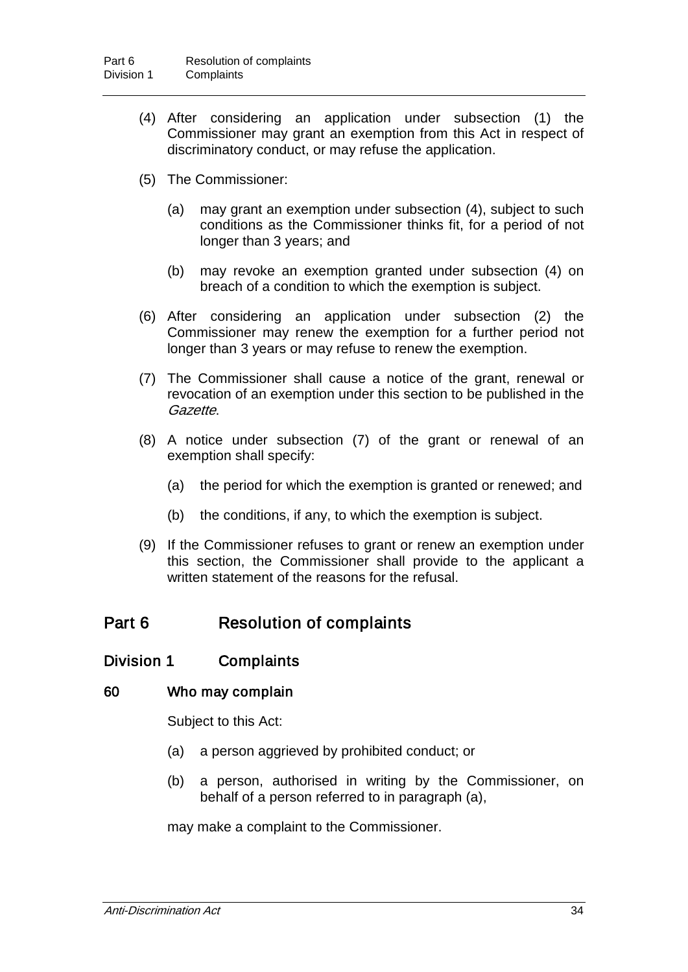- (4) After considering an application under subsection (1) the Commissioner may grant an exemption from this Act in respect of discriminatory conduct, or may refuse the application.
- (5) The Commissioner:
	- (a) may grant an exemption under subsection (4), subject to such conditions as the Commissioner thinks fit, for a period of not longer than 3 years; and
	- (b) may revoke an exemption granted under subsection (4) on breach of a condition to which the exemption is subject.
- (6) After considering an application under subsection (2) the Commissioner may renew the exemption for a further period not longer than 3 years or may refuse to renew the exemption.
- (7) The Commissioner shall cause a notice of the grant, renewal or revocation of an exemption under this section to be published in the Gazette.
- (8) A notice under subsection (7) of the grant or renewal of an exemption shall specify:
	- (a) the period for which the exemption is granted or renewed; and
	- (b) the conditions, if any, to which the exemption is subject.
- (9) If the Commissioner refuses to grant or renew an exemption under this section, the Commissioner shall provide to the applicant a written statement of the reasons for the refusal.

## Part 6 Resolution of complaints

### Division 1 Complaints

#### 60 Who may complain

Subject to this Act:

- (a) a person aggrieved by prohibited conduct; or
- (b) a person, authorised in writing by the Commissioner, on behalf of a person referred to in paragraph (a),

may make a complaint to the Commissioner.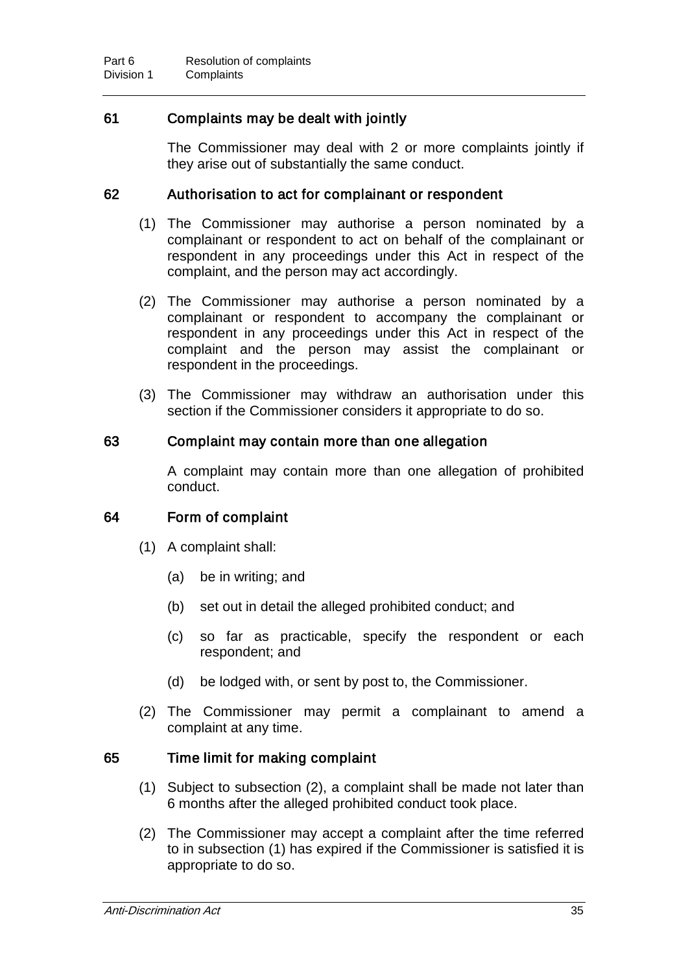## 61 Complaints may be dealt with jointly

The Commissioner may deal with 2 or more complaints jointly if they arise out of substantially the same conduct.

#### 62 Authorisation to act for complainant or respondent

- (1) The Commissioner may authorise a person nominated by a complainant or respondent to act on behalf of the complainant or respondent in any proceedings under this Act in respect of the complaint, and the person may act accordingly.
- (2) The Commissioner may authorise a person nominated by a complainant or respondent to accompany the complainant or respondent in any proceedings under this Act in respect of the complaint and the person may assist the complainant or respondent in the proceedings.
- (3) The Commissioner may withdraw an authorisation under this section if the Commissioner considers it appropriate to do so.

#### 63 Complaint may contain more than one allegation

A complaint may contain more than one allegation of prohibited conduct.

### 64 Form of complaint

- (1) A complaint shall:
	- (a) be in writing; and
	- (b) set out in detail the alleged prohibited conduct; and
	- (c) so far as practicable, specify the respondent or each respondent; and
	- (d) be lodged with, or sent by post to, the Commissioner.
- (2) The Commissioner may permit a complainant to amend a complaint at any time.

### 65 Time limit for making complaint

- (1) Subject to subsection (2), a complaint shall be made not later than 6 months after the alleged prohibited conduct took place.
- (2) The Commissioner may accept a complaint after the time referred to in subsection (1) has expired if the Commissioner is satisfied it is appropriate to do so.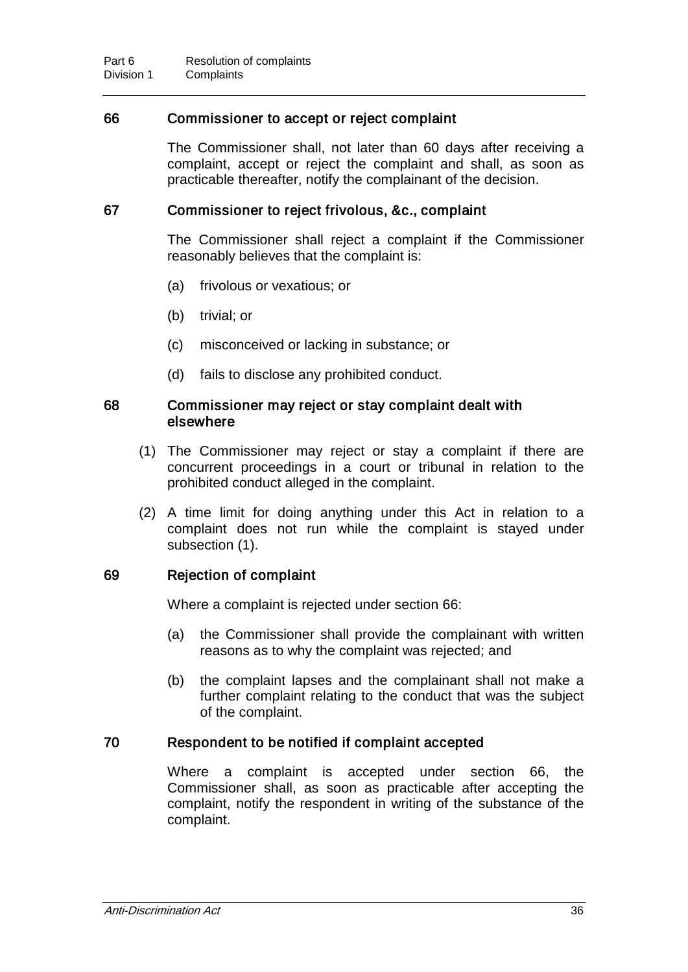#### 66 Commissioner to accept or reject complaint

The Commissioner shall, not later than 60 days after receiving a complaint, accept or reject the complaint and shall, as soon as practicable thereafter, notify the complainant of the decision.

#### 67 Commissioner to reject frivolous, &c., complaint

The Commissioner shall reject a complaint if the Commissioner reasonably believes that the complaint is:

- (a) frivolous or vexatious; or
- (b) trivial; or
- (c) misconceived or lacking in substance; or
- (d) fails to disclose any prohibited conduct.

#### 68 Commissioner may reject or stay complaint dealt with elsewhere

- (1) The Commissioner may reject or stay a complaint if there are concurrent proceedings in a court or tribunal in relation to the prohibited conduct alleged in the complaint.
- (2) A time limit for doing anything under this Act in relation to a complaint does not run while the complaint is stayed under subsection (1).

#### 69 Rejection of complaint

Where a complaint is rejected under section 66:

- (a) the Commissioner shall provide the complainant with written reasons as to why the complaint was rejected; and
- (b) the complaint lapses and the complainant shall not make a further complaint relating to the conduct that was the subject of the complaint.

#### 70 Respondent to be notified if complaint accepted

Where a complaint is accepted under section 66, the Commissioner shall, as soon as practicable after accepting the complaint, notify the respondent in writing of the substance of the complaint.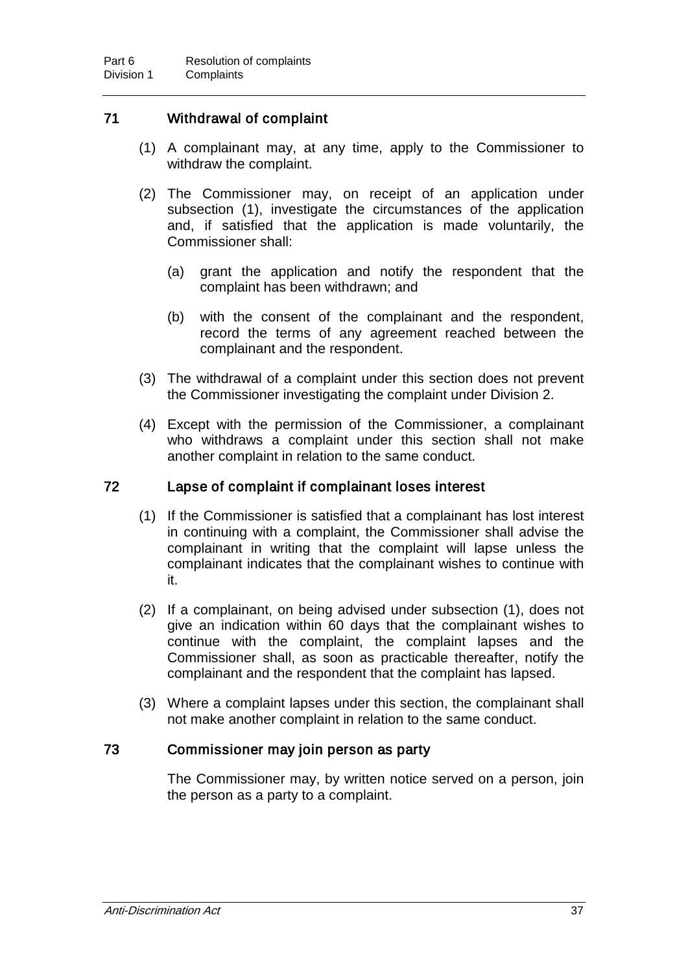## 71 Withdrawal of complaint

- (1) A complainant may, at any time, apply to the Commissioner to withdraw the complaint.
- (2) The Commissioner may, on receipt of an application under subsection (1), investigate the circumstances of the application and, if satisfied that the application is made voluntarily, the Commissioner shall:
	- (a) grant the application and notify the respondent that the complaint has been withdrawn; and
	- (b) with the consent of the complainant and the respondent, record the terms of any agreement reached between the complainant and the respondent.
- (3) The withdrawal of a complaint under this section does not prevent the Commissioner investigating the complaint under Division 2.
- (4) Except with the permission of the Commissioner, a complainant who withdraws a complaint under this section shall not make another complaint in relation to the same conduct.

### 72 Lapse of complaint if complainant loses interest

- (1) If the Commissioner is satisfied that a complainant has lost interest in continuing with a complaint, the Commissioner shall advise the complainant in writing that the complaint will lapse unless the complainant indicates that the complainant wishes to continue with it.
- (2) If a complainant, on being advised under subsection (1), does not give an indication within 60 days that the complainant wishes to continue with the complaint, the complaint lapses and the Commissioner shall, as soon as practicable thereafter, notify the complainant and the respondent that the complaint has lapsed.
- (3) Where a complaint lapses under this section, the complainant shall not make another complaint in relation to the same conduct.

#### 73 Commissioner may join person as party

The Commissioner may, by written notice served on a person, join the person as a party to a complaint.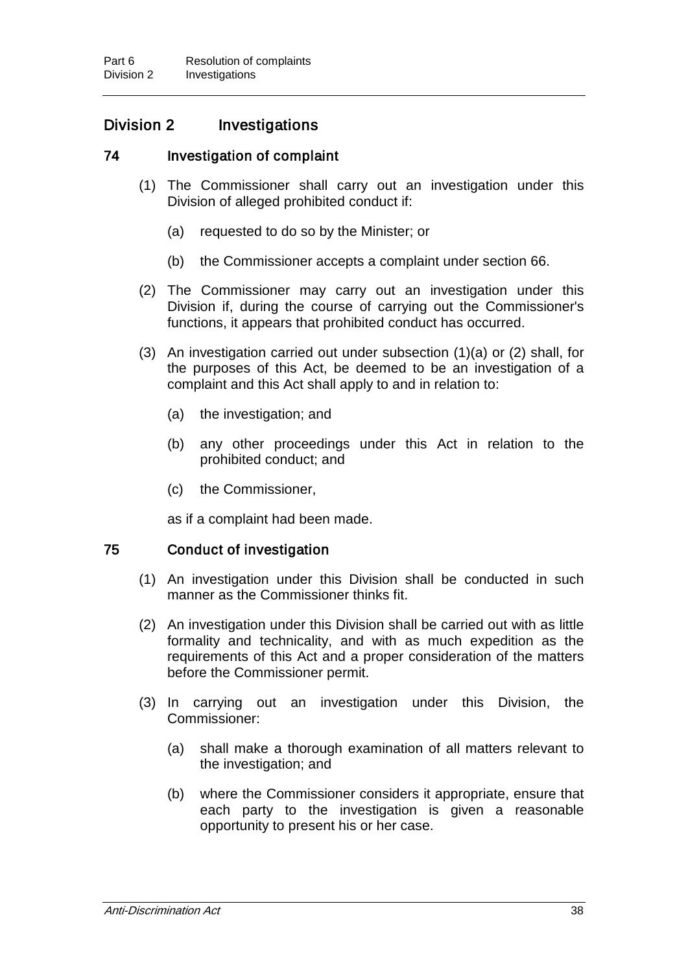## Division 2 Investigations

#### 74 Investigation of complaint

- (1) The Commissioner shall carry out an investigation under this Division of alleged prohibited conduct if:
	- (a) requested to do so by the Minister; or
	- (b) the Commissioner accepts a complaint under section 66.
- (2) The Commissioner may carry out an investigation under this Division if, during the course of carrying out the Commissioner's functions, it appears that prohibited conduct has occurred.
- (3) An investigation carried out under subsection (1)(a) or (2) shall, for the purposes of this Act, be deemed to be an investigation of a complaint and this Act shall apply to and in relation to:
	- (a) the investigation; and
	- (b) any other proceedings under this Act in relation to the prohibited conduct; and
	- (c) the Commissioner,

as if a complaint had been made.

#### 75 Conduct of investigation

- (1) An investigation under this Division shall be conducted in such manner as the Commissioner thinks fit.
- (2) An investigation under this Division shall be carried out with as little formality and technicality, and with as much expedition as the requirements of this Act and a proper consideration of the matters before the Commissioner permit.
- (3) In carrying out an investigation under this Division, the Commissioner:
	- (a) shall make a thorough examination of all matters relevant to the investigation; and
	- (b) where the Commissioner considers it appropriate, ensure that each party to the investigation is given a reasonable opportunity to present his or her case.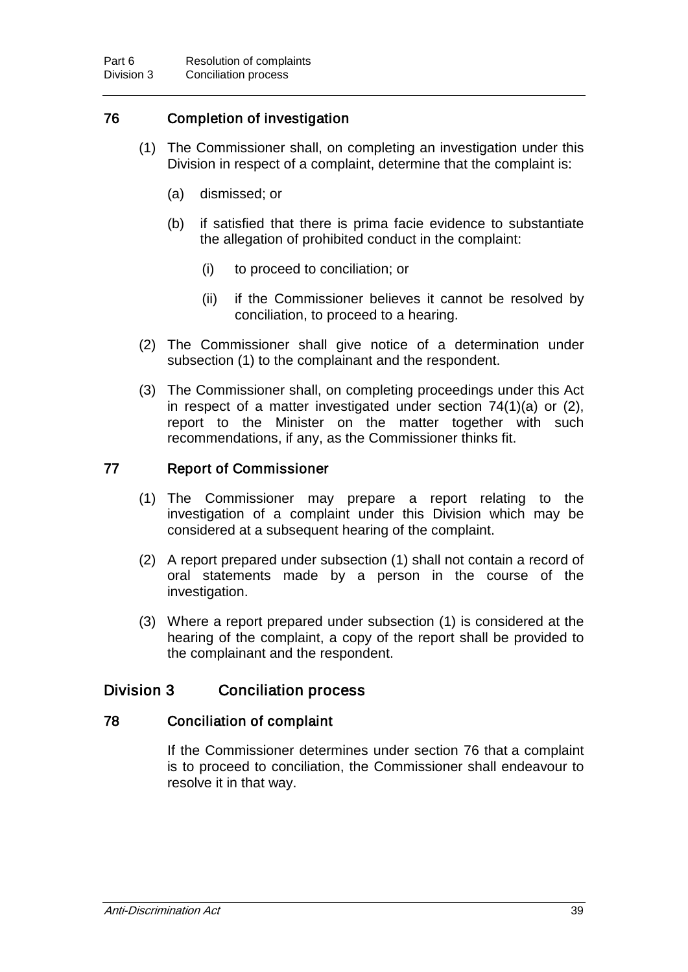## 76 Completion of investigation

- (1) The Commissioner shall, on completing an investigation under this Division in respect of a complaint, determine that the complaint is:
	- (a) dismissed; or
	- (b) if satisfied that there is prima facie evidence to substantiate the allegation of prohibited conduct in the complaint:
		- (i) to proceed to conciliation; or
		- (ii) if the Commissioner believes it cannot be resolved by conciliation, to proceed to a hearing.
- (2) The Commissioner shall give notice of a determination under subsection (1) to the complainant and the respondent.
- (3) The Commissioner shall, on completing proceedings under this Act in respect of a matter investigated under section 74(1)(a) or (2), report to the Minister on the matter together with such recommendations, if any, as the Commissioner thinks fit.

### 77 Report of Commissioner

- (1) The Commissioner may prepare a report relating to the investigation of a complaint under this Division which may be considered at a subsequent hearing of the complaint.
- (2) A report prepared under subsection (1) shall not contain a record of oral statements made by a person in the course of the investigation.
- (3) Where a report prepared under subsection (1) is considered at the hearing of the complaint, a copy of the report shall be provided to the complainant and the respondent.

### Division 3 Conciliation process

#### 78 Conciliation of complaint

If the Commissioner determines under section 76 that a complaint is to proceed to conciliation, the Commissioner shall endeavour to resolve it in that way.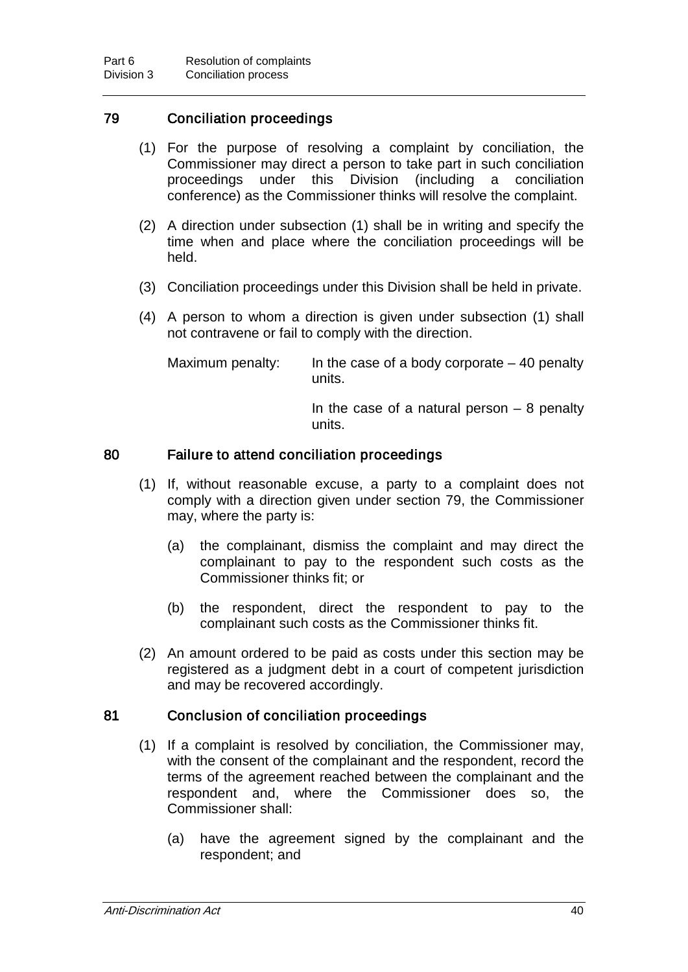## 79 Conciliation proceedings

- (1) For the purpose of resolving a complaint by conciliation, the Commissioner may direct a person to take part in such conciliation proceedings under this Division (including a conciliation conference) as the Commissioner thinks will resolve the complaint.
- (2) A direction under subsection (1) shall be in writing and specify the time when and place where the conciliation proceedings will be held.
- (3) Conciliation proceedings under this Division shall be held in private.
- (4) A person to whom a direction is given under subsection (1) shall not contravene or fail to comply with the direction.

Maximum penalty: In the case of a body corporate  $-40$  penalty units.

> In the case of a natural person  $-8$  penalty units.

#### 80 Failure to attend conciliation proceedings

- (1) If, without reasonable excuse, a party to a complaint does not comply with a direction given under section 79, the Commissioner may, where the party is:
	- (a) the complainant, dismiss the complaint and may direct the complainant to pay to the respondent such costs as the Commissioner thinks fit; or
	- (b) the respondent, direct the respondent to pay to the complainant such costs as the Commissioner thinks fit.
- (2) An amount ordered to be paid as costs under this section may be registered as a judgment debt in a court of competent jurisdiction and may be recovered accordingly.

### 81 Conclusion of conciliation proceedings

- (1) If a complaint is resolved by conciliation, the Commissioner may, with the consent of the complainant and the respondent, record the terms of the agreement reached between the complainant and the respondent and, where the Commissioner does so, the Commissioner shall:
	- (a) have the agreement signed by the complainant and the respondent; and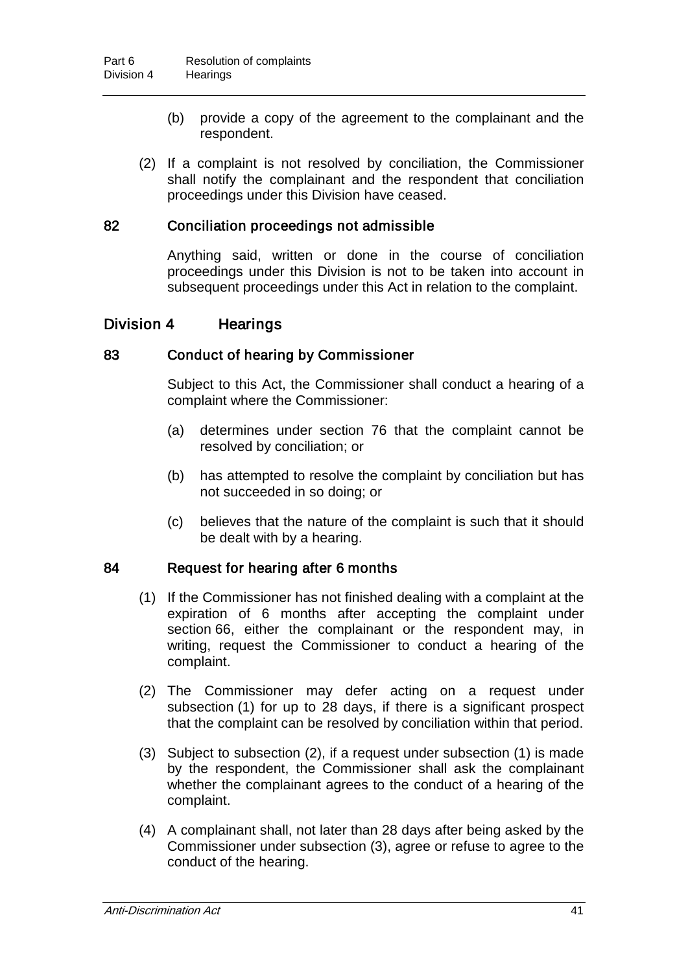- (b) provide a copy of the agreement to the complainant and the respondent.
- (2) If a complaint is not resolved by conciliation, the Commissioner shall notify the complainant and the respondent that conciliation proceedings under this Division have ceased.

### 82 Conciliation proceedings not admissible

Anything said, written or done in the course of conciliation proceedings under this Division is not to be taken into account in subsequent proceedings under this Act in relation to the complaint.

## Division 4 Hearings

#### 83 Conduct of hearing by Commissioner

Subject to this Act, the Commissioner shall conduct a hearing of a complaint where the Commissioner:

- (a) determines under section 76 that the complaint cannot be resolved by conciliation; or
- (b) has attempted to resolve the complaint by conciliation but has not succeeded in so doing; or
- (c) believes that the nature of the complaint is such that it should be dealt with by a hearing.

#### 84 Request for hearing after 6 months

- (1) If the Commissioner has not finished dealing with a complaint at the expiration of 6 months after accepting the complaint under section 66, either the complainant or the respondent may, in writing, request the Commissioner to conduct a hearing of the complaint.
- (2) The Commissioner may defer acting on a request under subsection (1) for up to 28 days, if there is a significant prospect that the complaint can be resolved by conciliation within that period.
- (3) Subject to subsection (2), if a request under subsection (1) is made by the respondent, the Commissioner shall ask the complainant whether the complainant agrees to the conduct of a hearing of the complaint.
- (4) A complainant shall, not later than 28 days after being asked by the Commissioner under subsection (3), agree or refuse to agree to the conduct of the hearing.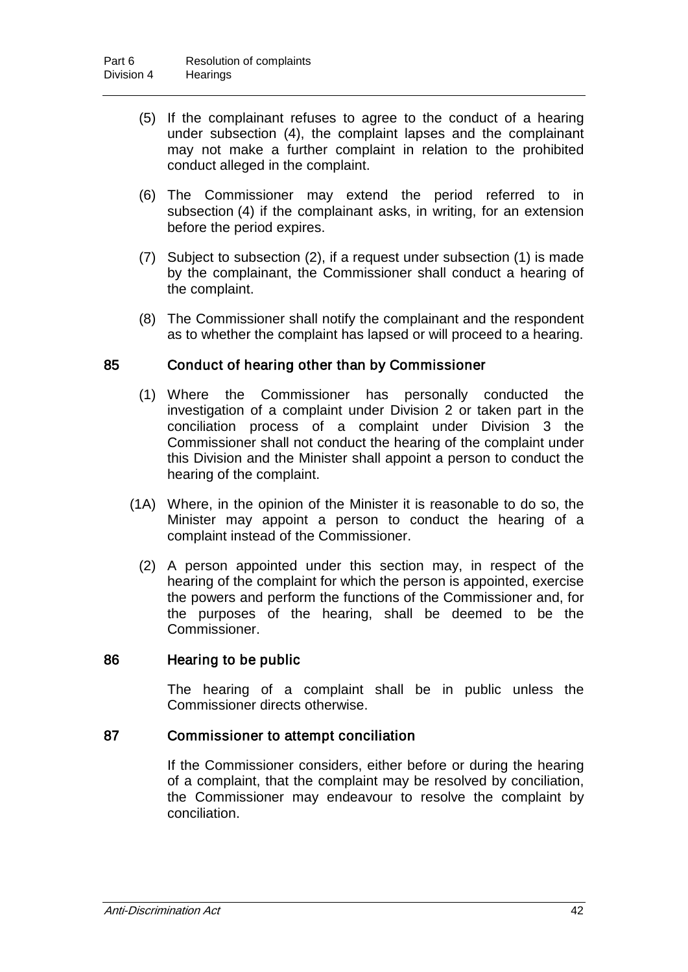- (5) If the complainant refuses to agree to the conduct of a hearing under subsection (4), the complaint lapses and the complainant may not make a further complaint in relation to the prohibited conduct alleged in the complaint.
- (6) The Commissioner may extend the period referred to in subsection (4) if the complainant asks, in writing, for an extension before the period expires.
- (7) Subject to subsection (2), if a request under subsection (1) is made by the complainant, the Commissioner shall conduct a hearing of the complaint.
- (8) The Commissioner shall notify the complainant and the respondent as to whether the complaint has lapsed or will proceed to a hearing.

### 85 Conduct of hearing other than by Commissioner

- (1) Where the Commissioner has personally conducted the investigation of a complaint under Division 2 or taken part in the conciliation process of a complaint under Division 3 the Commissioner shall not conduct the hearing of the complaint under this Division and the Minister shall appoint a person to conduct the hearing of the complaint.
- (1A) Where, in the opinion of the Minister it is reasonable to do so, the Minister may appoint a person to conduct the hearing of a complaint instead of the Commissioner.
	- (2) A person appointed under this section may, in respect of the hearing of the complaint for which the person is appointed, exercise the powers and perform the functions of the Commissioner and, for the purposes of the hearing, shall be deemed to be the Commissioner.

#### 86 Hearing to be public

The hearing of a complaint shall be in public unless the Commissioner directs otherwise.

#### 87 Commissioner to attempt conciliation

If the Commissioner considers, either before or during the hearing of a complaint, that the complaint may be resolved by conciliation, the Commissioner may endeavour to resolve the complaint by conciliation.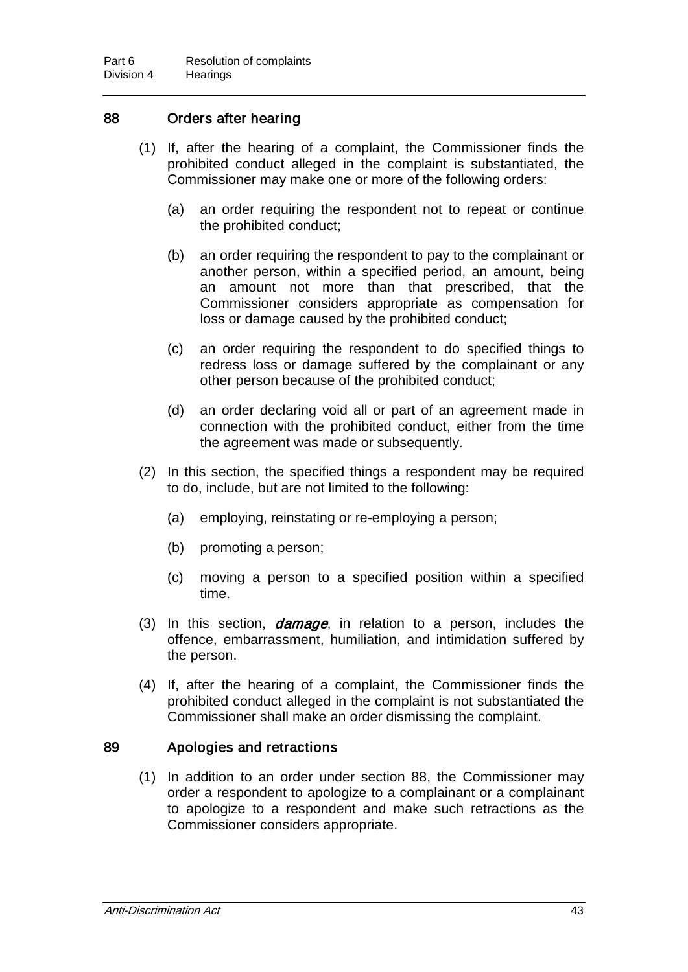### 88 Orders after hearing

- (1) If, after the hearing of a complaint, the Commissioner finds the prohibited conduct alleged in the complaint is substantiated, the Commissioner may make one or more of the following orders:
	- (a) an order requiring the respondent not to repeat or continue the prohibited conduct;
	- (b) an order requiring the respondent to pay to the complainant or another person, within a specified period, an amount, being an amount not more than that prescribed, that the Commissioner considers appropriate as compensation for loss or damage caused by the prohibited conduct;
	- (c) an order requiring the respondent to do specified things to redress loss or damage suffered by the complainant or any other person because of the prohibited conduct;
	- (d) an order declaring void all or part of an agreement made in connection with the prohibited conduct, either from the time the agreement was made or subsequently.
- (2) In this section, the specified things a respondent may be required to do, include, but are not limited to the following:
	- (a) employing, reinstating or re-employing a person;
	- (b) promoting a person;
	- (c) moving a person to a specified position within a specified time.
- (3) In this section, *damage*, in relation to a person, includes the offence, embarrassment, humiliation, and intimidation suffered by the person.
- (4) If, after the hearing of a complaint, the Commissioner finds the prohibited conduct alleged in the complaint is not substantiated the Commissioner shall make an order dismissing the complaint.

#### 89 Apologies and retractions

(1) In addition to an order under section 88, the Commissioner may order a respondent to apologize to a complainant or a complainant to apologize to a respondent and make such retractions as the Commissioner considers appropriate.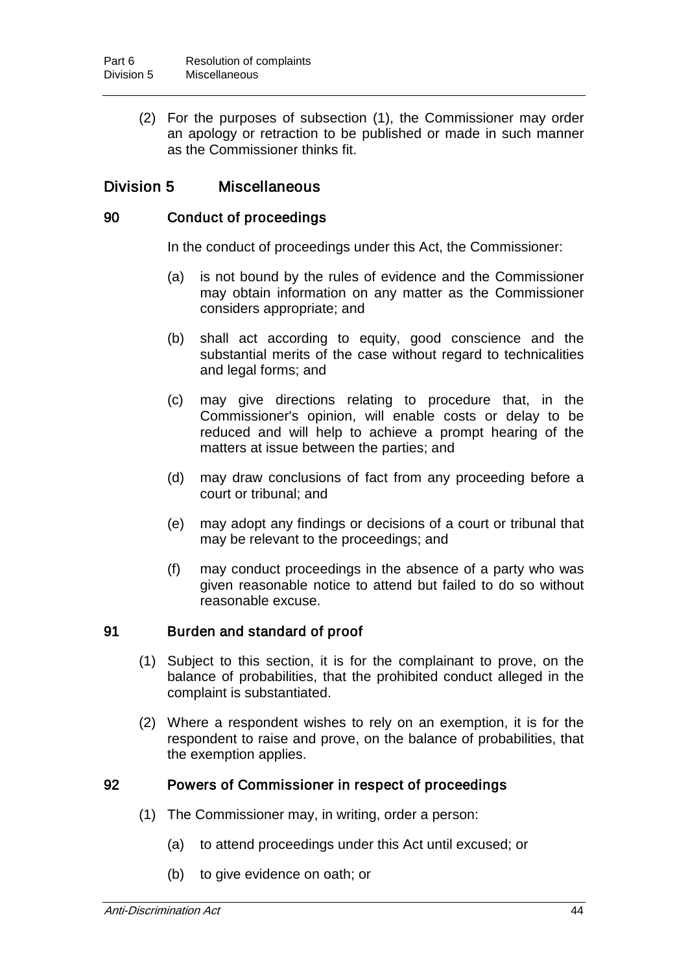(2) For the purposes of subsection (1), the Commissioner may order an apology or retraction to be published or made in such manner as the Commissioner thinks fit.

## Division 5 Miscellaneous

#### 90 Conduct of proceedings

In the conduct of proceedings under this Act, the Commissioner:

- (a) is not bound by the rules of evidence and the Commissioner may obtain information on any matter as the Commissioner considers appropriate; and
- (b) shall act according to equity, good conscience and the substantial merits of the case without regard to technicalities and legal forms; and
- (c) may give directions relating to procedure that, in the Commissioner's opinion, will enable costs or delay to be reduced and will help to achieve a prompt hearing of the matters at issue between the parties; and
- (d) may draw conclusions of fact from any proceeding before a court or tribunal; and
- (e) may adopt any findings or decisions of a court or tribunal that may be relevant to the proceedings; and
- (f) may conduct proceedings in the absence of a party who was given reasonable notice to attend but failed to do so without reasonable excuse.

#### 91 Burden and standard of proof

- (1) Subject to this section, it is for the complainant to prove, on the balance of probabilities, that the prohibited conduct alleged in the complaint is substantiated.
- (2) Where a respondent wishes to rely on an exemption, it is for the respondent to raise and prove, on the balance of probabilities, that the exemption applies.

#### 92 Powers of Commissioner in respect of proceedings

- (1) The Commissioner may, in writing, order a person:
	- (a) to attend proceedings under this Act until excused; or
	- (b) to give evidence on oath; or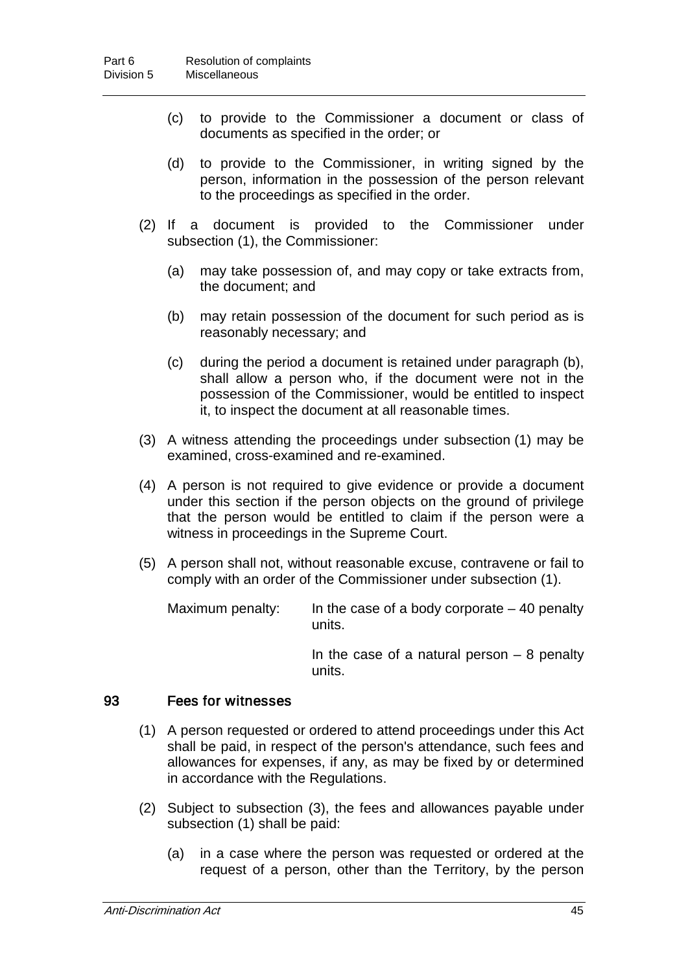- (c) to provide to the Commissioner a document or class of documents as specified in the order; or
- (d) to provide to the Commissioner, in writing signed by the person, information in the possession of the person relevant to the proceedings as specified in the order.
- (2) If a document is provided to the Commissioner under subsection (1), the Commissioner:
	- (a) may take possession of, and may copy or take extracts from, the document; and
	- (b) may retain possession of the document for such period as is reasonably necessary; and
	- (c) during the period a document is retained under paragraph (b), shall allow a person who, if the document were not in the possession of the Commissioner, would be entitled to inspect it, to inspect the document at all reasonable times.
- (3) A witness attending the proceedings under subsection (1) may be examined, cross-examined and re-examined.
- (4) A person is not required to give evidence or provide a document under this section if the person objects on the ground of privilege that the person would be entitled to claim if the person were a witness in proceedings in the Supreme Court.
- (5) A person shall not, without reasonable excuse, contravene or fail to comply with an order of the Commissioner under subsection (1).

Maximum penalty: In the case of a body corporate  $-40$  penalty units.

> In the case of a natural person  $-8$  penalty units.

#### 93 Fees for witnesses

- (1) A person requested or ordered to attend proceedings under this Act shall be paid, in respect of the person's attendance, such fees and allowances for expenses, if any, as may be fixed by or determined in accordance with the Regulations.
- (2) Subject to subsection (3), the fees and allowances payable under subsection (1) shall be paid:
	- (a) in a case where the person was requested or ordered at the request of a person, other than the Territory, by the person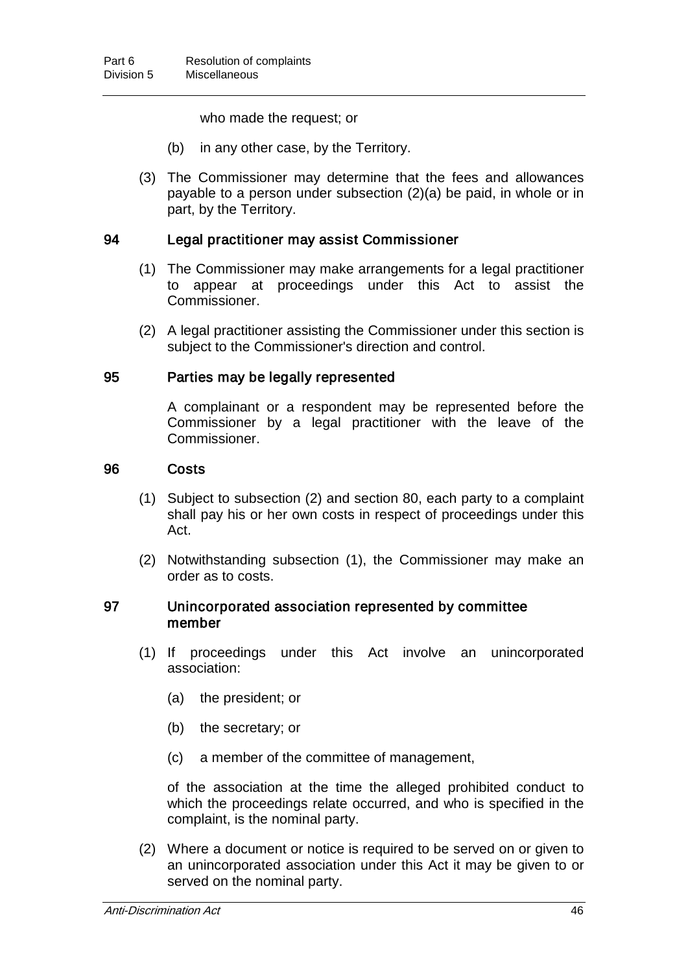who made the request; or

- (b) in any other case, by the Territory.
- (3) The Commissioner may determine that the fees and allowances payable to a person under subsection (2)(a) be paid, in whole or in part, by the Territory.

#### 94 Legal practitioner may assist Commissioner

- (1) The Commissioner may make arrangements for a legal practitioner to appear at proceedings under this Act to assist the Commissioner.
- (2) A legal practitioner assisting the Commissioner under this section is subject to the Commissioner's direction and control.

#### 95 Parties may be legally represented

A complainant or a respondent may be represented before the Commissioner by a legal practitioner with the leave of the Commissioner.

#### 96 Costs

- (1) Subject to subsection (2) and section 80, each party to a complaint shall pay his or her own costs in respect of proceedings under this Act.
- (2) Notwithstanding subsection (1), the Commissioner may make an order as to costs.

#### 97 Unincorporated association represented by committee member

- (1) If proceedings under this Act involve an unincorporated association:
	- (a) the president; or
	- (b) the secretary; or
	- (c) a member of the committee of management,

of the association at the time the alleged prohibited conduct to which the proceedings relate occurred, and who is specified in the complaint, is the nominal party.

(2) Where a document or notice is required to be served on or given to an unincorporated association under this Act it may be given to or served on the nominal party.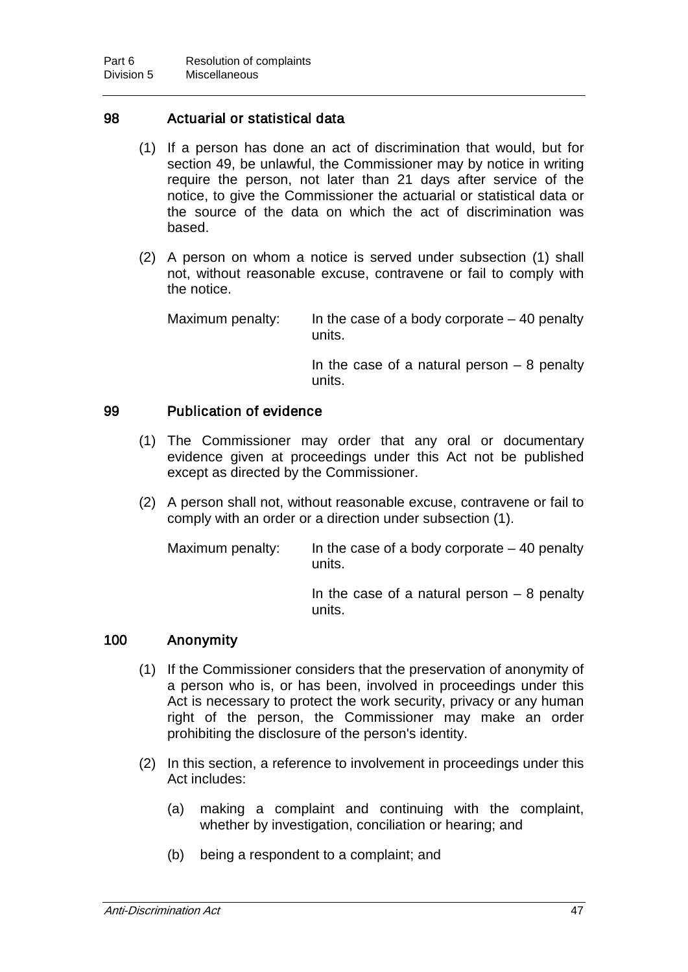### 98 Actuarial or statistical data

- (1) If a person has done an act of discrimination that would, but for section 49, be unlawful, the Commissioner may by notice in writing require the person, not later than 21 days after service of the notice, to give the Commissioner the actuarial or statistical data or the source of the data on which the act of discrimination was based.
- (2) A person on whom a notice is served under subsection (1) shall not, without reasonable excuse, contravene or fail to comply with the notice.

Maximum penalty: In the case of a body corporate  $-40$  penalty units.

> In the case of a natural person  $-8$  penalty units.

## 99 Publication of evidence

- (1) The Commissioner may order that any oral or documentary evidence given at proceedings under this Act not be published except as directed by the Commissioner.
- (2) A person shall not, without reasonable excuse, contravene or fail to comply with an order or a direction under subsection (1).

Maximum penalty: In the case of a body corporate  $-40$  penalty units. In the case of a natural person  $-8$  penalty units.

#### 100 Anonymity

- (1) If the Commissioner considers that the preservation of anonymity of a person who is, or has been, involved in proceedings under this Act is necessary to protect the work security, privacy or any human right of the person, the Commissioner may make an order prohibiting the disclosure of the person's identity.
- (2) In this section, a reference to involvement in proceedings under this Act includes:
	- (a) making a complaint and continuing with the complaint, whether by investigation, conciliation or hearing; and
	- (b) being a respondent to a complaint; and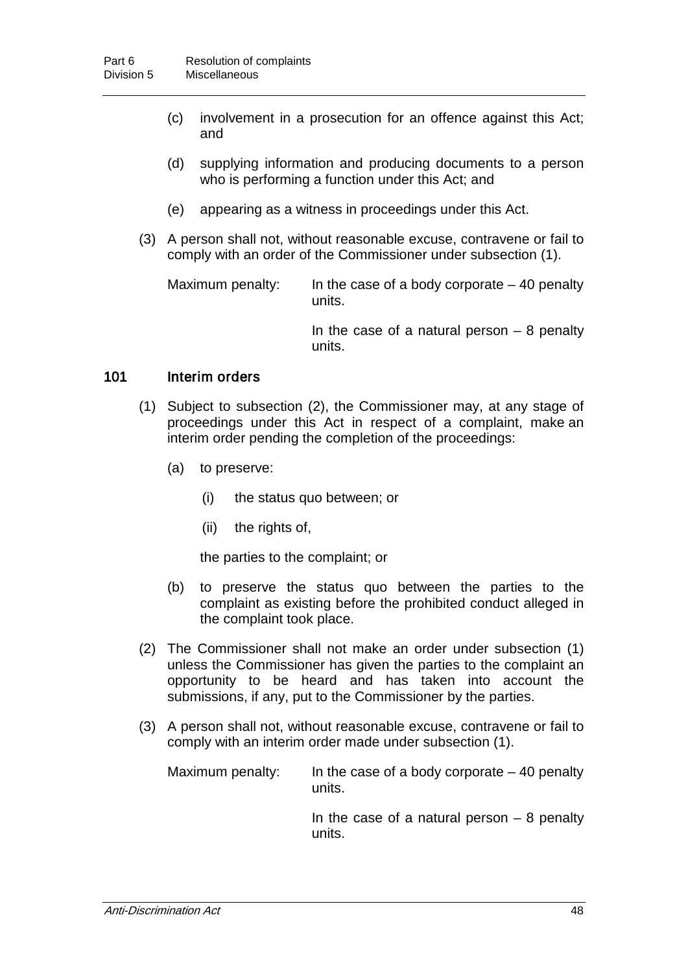- (c) involvement in a prosecution for an offence against this Act; and
- (d) supplying information and producing documents to a person who is performing a function under this Act; and
- (e) appearing as a witness in proceedings under this Act.
- (3) A person shall not, without reasonable excuse, contravene or fail to comply with an order of the Commissioner under subsection (1).

Maximum penalty: In the case of a body corporate  $-40$  penalty units.

In the case of a natural person  $-8$  penalty units.

#### 101 Interim orders

- (1) Subject to subsection (2), the Commissioner may, at any stage of proceedings under this Act in respect of a complaint, make an interim order pending the completion of the proceedings:
	- (a) to preserve:
		- (i) the status quo between; or
		- (ii) the rights of,

the parties to the complaint; or

- (b) to preserve the status quo between the parties to the complaint as existing before the prohibited conduct alleged in the complaint took place.
- (2) The Commissioner shall not make an order under subsection (1) unless the Commissioner has given the parties to the complaint an opportunity to be heard and has taken into account the submissions, if any, put to the Commissioner by the parties.
- (3) A person shall not, without reasonable excuse, contravene or fail to comply with an interim order made under subsection (1).

Maximum penalty: In the case of a body corporate  $-40$  penalty units.

In the case of a natural person  $-8$  penalty units.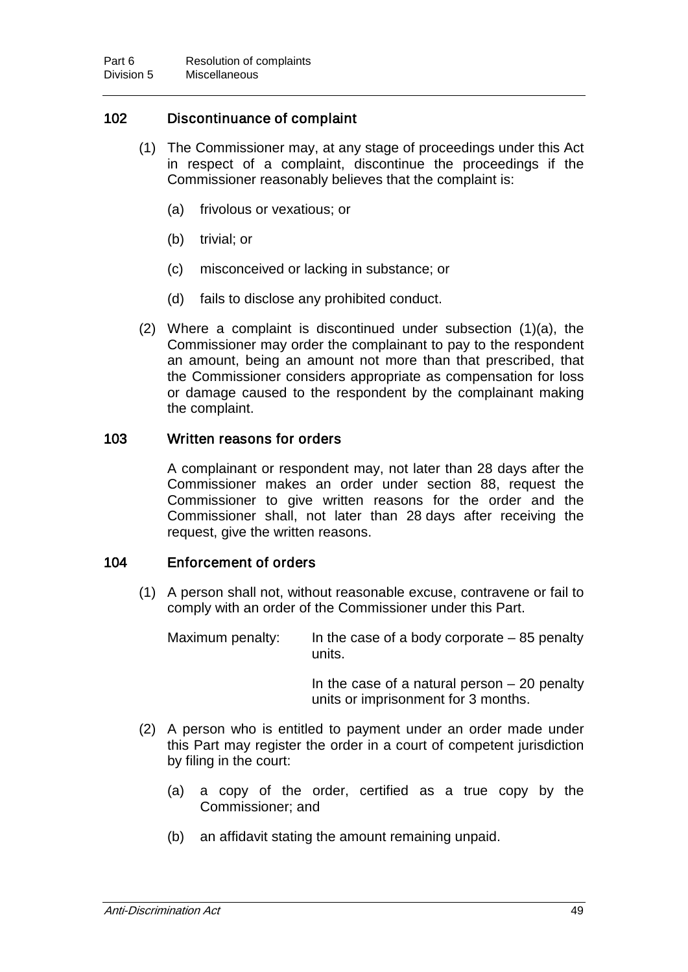## 102 Discontinuance of complaint

- (1) The Commissioner may, at any stage of proceedings under this Act in respect of a complaint, discontinue the proceedings if the Commissioner reasonably believes that the complaint is:
	- (a) frivolous or vexatious; or
	- (b) trivial; or
	- (c) misconceived or lacking in substance; or
	- (d) fails to disclose any prohibited conduct.
- (2) Where a complaint is discontinued under subsection (1)(a), the Commissioner may order the complainant to pay to the respondent an amount, being an amount not more than that prescribed, that the Commissioner considers appropriate as compensation for loss or damage caused to the respondent by the complainant making the complaint.

#### 103 Written reasons for orders

A complainant or respondent may, not later than 28 days after the Commissioner makes an order under section 88, request the Commissioner to give written reasons for the order and the Commissioner shall, not later than 28 days after receiving the request, give the written reasons.

#### 104 Enforcement of orders

(1) A person shall not, without reasonable excuse, contravene or fail to comply with an order of the Commissioner under this Part.

Maximum penalty: In the case of a body corporate  $-85$  penalty units.

> In the case of a natural person  $-20$  penalty units or imprisonment for 3 months.

- (2) A person who is entitled to payment under an order made under this Part may register the order in a court of competent jurisdiction by filing in the court:
	- (a) a copy of the order, certified as a true copy by the Commissioner; and
	- (b) an affidavit stating the amount remaining unpaid.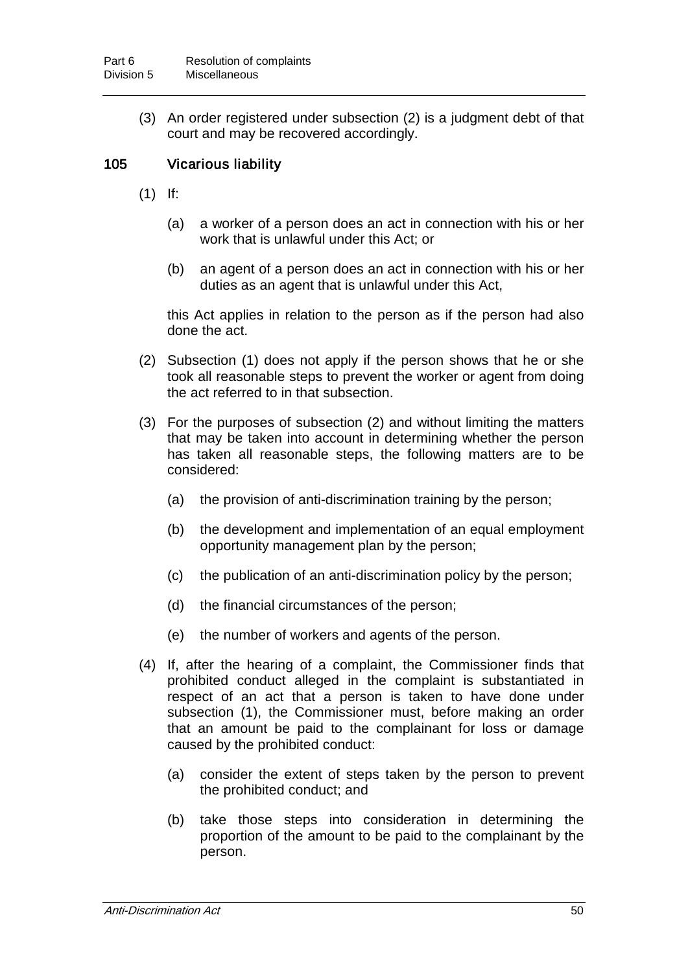(3) An order registered under subsection (2) is a judgment debt of that court and may be recovered accordingly.

## 105 Vicarious liability

- (1) If:
	- (a) a worker of a person does an act in connection with his or her work that is unlawful under this Act; or
	- (b) an agent of a person does an act in connection with his or her duties as an agent that is unlawful under this Act,

this Act applies in relation to the person as if the person had also done the act.

- (2) Subsection (1) does not apply if the person shows that he or she took all reasonable steps to prevent the worker or agent from doing the act referred to in that subsection.
- (3) For the purposes of subsection (2) and without limiting the matters that may be taken into account in determining whether the person has taken all reasonable steps, the following matters are to be considered:
	- (a) the provision of anti-discrimination training by the person;
	- (b) the development and implementation of an equal employment opportunity management plan by the person;
	- (c) the publication of an anti-discrimination policy by the person;
	- (d) the financial circumstances of the person;
	- (e) the number of workers and agents of the person.
- (4) If, after the hearing of a complaint, the Commissioner finds that prohibited conduct alleged in the complaint is substantiated in respect of an act that a person is taken to have done under subsection (1), the Commissioner must, before making an order that an amount be paid to the complainant for loss or damage caused by the prohibited conduct:
	- (a) consider the extent of steps taken by the person to prevent the prohibited conduct; and
	- (b) take those steps into consideration in determining the proportion of the amount to be paid to the complainant by the person.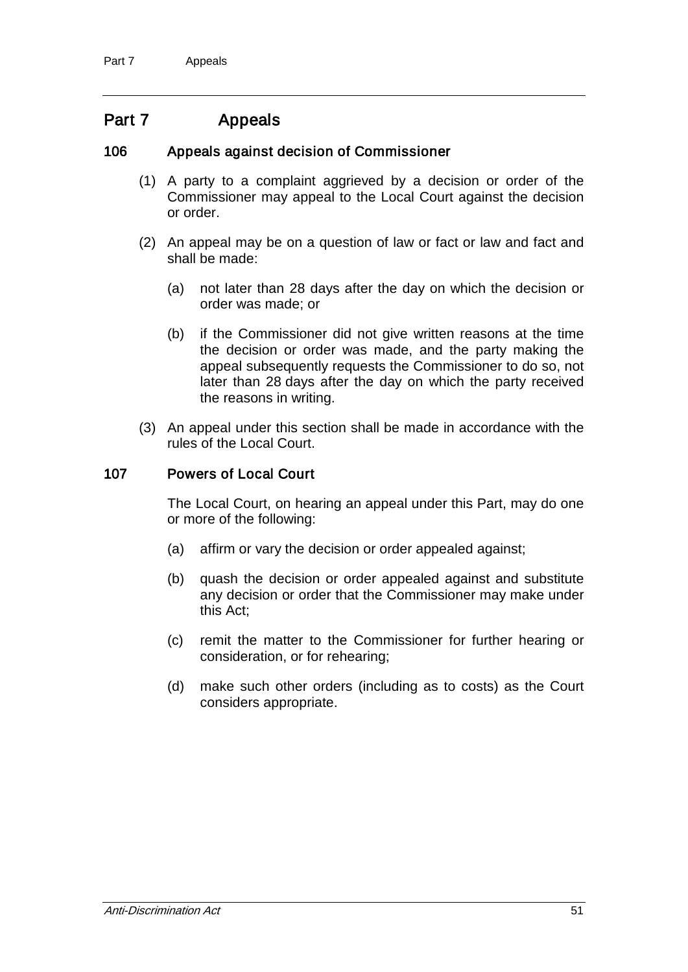## Part 7 Appeals

### 106 Appeals against decision of Commissioner

- (1) A party to a complaint aggrieved by a decision or order of the Commissioner may appeal to the Local Court against the decision or order.
- (2) An appeal may be on a question of law or fact or law and fact and shall be made:
	- (a) not later than 28 days after the day on which the decision or order was made; or
	- (b) if the Commissioner did not give written reasons at the time the decision or order was made, and the party making the appeal subsequently requests the Commissioner to do so, not later than 28 days after the day on which the party received the reasons in writing.
- (3) An appeal under this section shall be made in accordance with the rules of the Local Court.

#### 107 Powers of Local Court

The Local Court, on hearing an appeal under this Part, may do one or more of the following:

- (a) affirm or vary the decision or order appealed against;
- (b) quash the decision or order appealed against and substitute any decision or order that the Commissioner may make under this Act;
- (c) remit the matter to the Commissioner for further hearing or consideration, or for rehearing;
- (d) make such other orders (including as to costs) as the Court considers appropriate.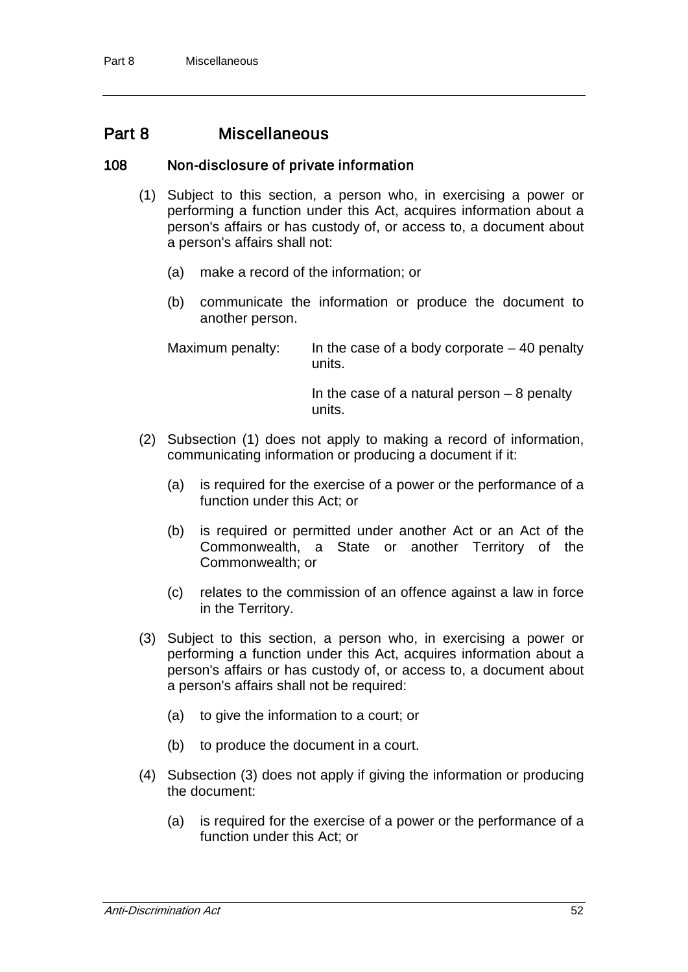## Part 8 Miscellaneous

### 108 Non-disclosure of private information

- (1) Subject to this section, a person who, in exercising a power or performing a function under this Act, acquires information about a person's affairs or has custody of, or access to, a document about a person's affairs shall not:
	- (a) make a record of the information; or
	- (b) communicate the information or produce the document to another person.

Maximum penalty: In the case of a body corporate  $-40$  penalty units.

> In the case of a natural person  $-8$  penalty units.

- (2) Subsection (1) does not apply to making a record of information, communicating information or producing a document if it:
	- (a) is required for the exercise of a power or the performance of a function under this Act; or
	- (b) is required or permitted under another Act or an Act of the Commonwealth, a State or another Territory of the Commonwealth; or
	- (c) relates to the commission of an offence against a law in force in the Territory.
- (3) Subject to this section, a person who, in exercising a power or performing a function under this Act, acquires information about a person's affairs or has custody of, or access to, a document about a person's affairs shall not be required:
	- (a) to give the information to a court; or
	- (b) to produce the document in a court.
- (4) Subsection (3) does not apply if giving the information or producing the document:
	- (a) is required for the exercise of a power or the performance of a function under this Act; or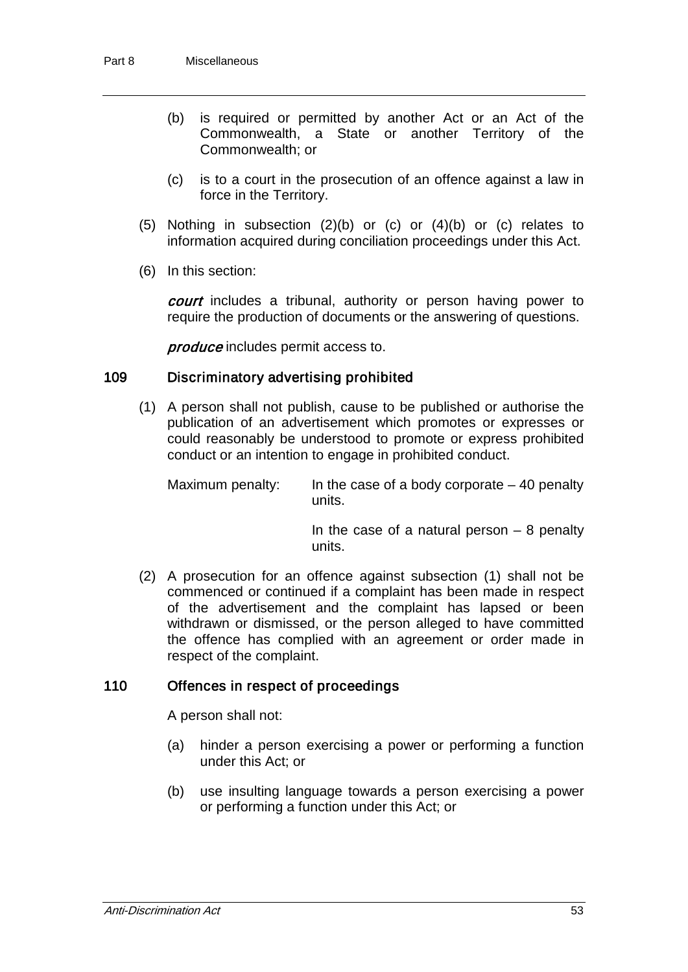- (b) is required or permitted by another Act or an Act of the Commonwealth, a State or another Territory of the Commonwealth; or
- (c) is to a court in the prosecution of an offence against a law in force in the Territory.
- (5) Nothing in subsection (2)(b) or (c) or (4)(b) or (c) relates to information acquired during conciliation proceedings under this Act.
- (6) In this section:

court includes a tribunal, authority or person having power to require the production of documents or the answering of questions.

produce includes permit access to.

#### 109 Discriminatory advertising prohibited

(1) A person shall not publish, cause to be published or authorise the publication of an advertisement which promotes or expresses or could reasonably be understood to promote or express prohibited conduct or an intention to engage in prohibited conduct.

Maximum penalty: In the case of a body corporate  $-40$  penalty units.

> In the case of a natural person  $-8$  penalty units.

(2) A prosecution for an offence against subsection (1) shall not be commenced or continued if a complaint has been made in respect of the advertisement and the complaint has lapsed or been withdrawn or dismissed, or the person alleged to have committed the offence has complied with an agreement or order made in respect of the complaint.

### 110 Offences in respect of proceedings

A person shall not:

- (a) hinder a person exercising a power or performing a function under this Act; or
- (b) use insulting language towards a person exercising a power or performing a function under this Act; or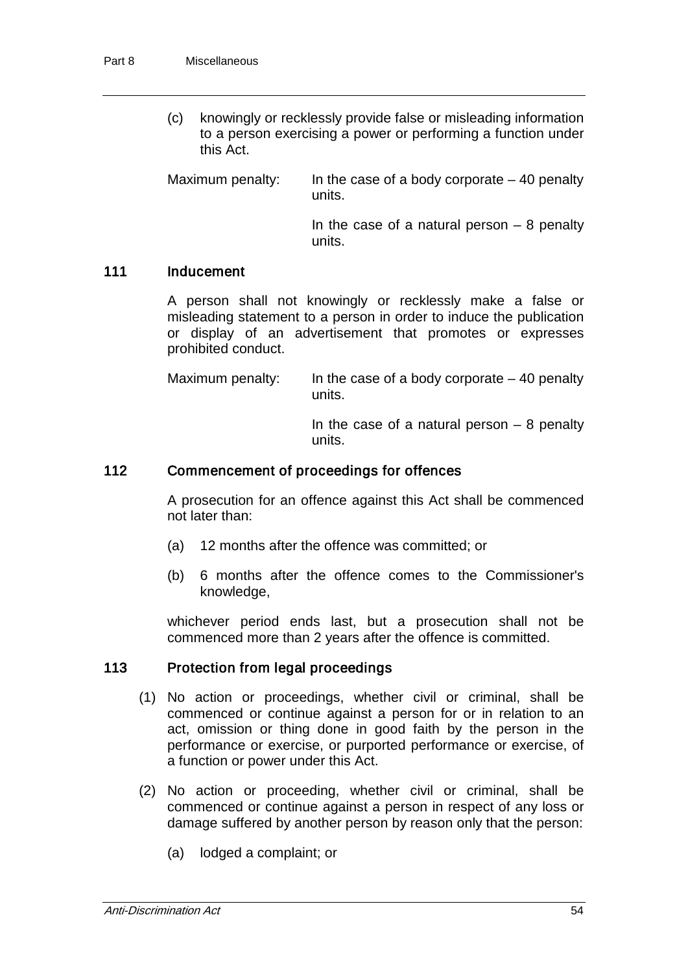(c) knowingly or recklessly provide false or misleading information to a person exercising a power or performing a function under this Act.

Maximum penalty: In the case of a body corporate  $-40$  penalty units.

> In the case of a natural person  $-8$  penalty units.

#### 111 Inducement

A person shall not knowingly or recklessly make a false or misleading statement to a person in order to induce the publication or display of an advertisement that promotes or expresses prohibited conduct.

Maximum penalty: In the case of a body corporate  $-40$  penalty units.

> In the case of a natural person  $-8$  penalty units.

#### 112 Commencement of proceedings for offences

A prosecution for an offence against this Act shall be commenced not later than:

- (a) 12 months after the offence was committed; or
- (b) 6 months after the offence comes to the Commissioner's knowledge,

whichever period ends last, but a prosecution shall not be commenced more than 2 years after the offence is committed.

## 113 Protection from legal proceedings

- (1) No action or proceedings, whether civil or criminal, shall be commenced or continue against a person for or in relation to an act, omission or thing done in good faith by the person in the performance or exercise, or purported performance or exercise, of a function or power under this Act.
- (2) No action or proceeding, whether civil or criminal, shall be commenced or continue against a person in respect of any loss or damage suffered by another person by reason only that the person:
	- (a) lodged a complaint; or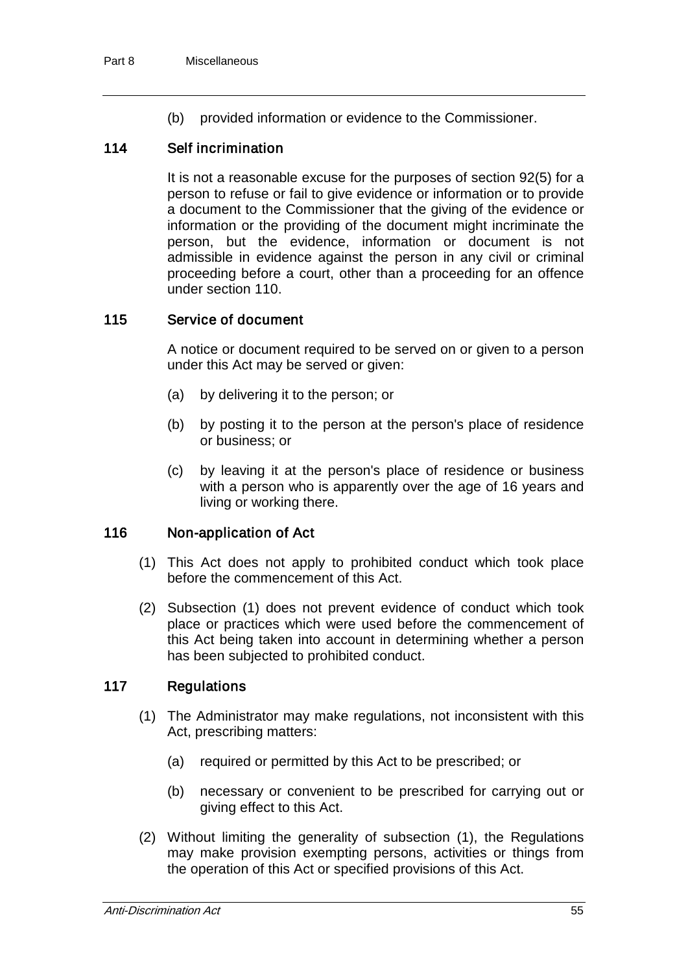(b) provided information or evidence to the Commissioner.

#### 114 Self incrimination

It is not a reasonable excuse for the purposes of section 92(5) for a person to refuse or fail to give evidence or information or to provide a document to the Commissioner that the giving of the evidence or information or the providing of the document might incriminate the person, but the evidence, information or document is not admissible in evidence against the person in any civil or criminal proceeding before a court, other than a proceeding for an offence under section 110.

#### 115 Service of document

A notice or document required to be served on or given to a person under this Act may be served or given:

- (a) by delivering it to the person; or
- (b) by posting it to the person at the person's place of residence or business; or
- (c) by leaving it at the person's place of residence or business with a person who is apparently over the age of 16 years and living or working there.

#### 116 Non-application of Act

- (1) This Act does not apply to prohibited conduct which took place before the commencement of this Act.
- (2) Subsection (1) does not prevent evidence of conduct which took place or practices which were used before the commencement of this Act being taken into account in determining whether a person has been subjected to prohibited conduct.

#### 117 Regulations

- (1) The Administrator may make regulations, not inconsistent with this Act, prescribing matters:
	- (a) required or permitted by this Act to be prescribed; or
	- (b) necessary or convenient to be prescribed for carrying out or giving effect to this Act.
- (2) Without limiting the generality of subsection (1), the Regulations may make provision exempting persons, activities or things from the operation of this Act or specified provisions of this Act.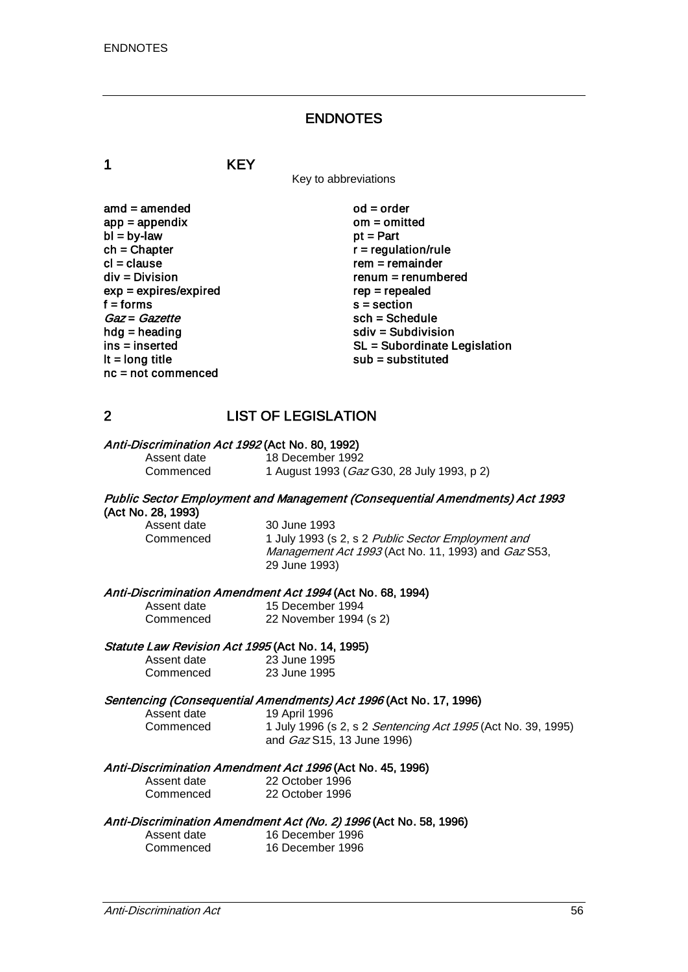#### ENDNOTES

1 KEY

Key to abbreviations

| $amd = amended$         |
|-------------------------|
| $app = appendix$        |
| $bl = by-law$           |
| $ch = Chapter$          |
| $cl = clause$           |
| div = Division          |
| $exp = expires/expired$ |
| $f =$ forms             |
| Gaz = Gazette           |
| hdg = heading           |
| ins = inserted          |
| It = long title         |
| nc = not commenced      |

 $od = order$  $om =$ omitted  $pt = Part$  $r =$  regulation/rule  $rem = remainder$  $renum = renumbered$  $rep = repeated$  $s =$  section  $sch = Schedule$ sdiv = Subdivision SL = Subordinate Legislation  $sub =$  substituted

## 2 LIST OF LEGISLATION

#### Anti-Discrimination Act 1992 (Act No. 80, 1992)

| Assent date | 18 December 1992                                   |
|-------------|----------------------------------------------------|
| Commenced   | 1 August 1993 ( <i>Gaz</i> G30, 28 July 1993, p 2) |

## Public Sector Employment and Management (Consequential Amendments) Act 1993 (Act No. 28, 1993)

Assent date 30 June 1993<br>Commenced 1 July 1993 (s

1 July 1993 (s 2, s 2 Public Sector Employment and Management Act 1993 (Act No. 11, 1993) and Gaz S53, 29 June 1993)

# Anti-Discrimination Amendment Act 1994 (Act No. 68, 1994)<br>Assent date 15 December 1994

Assent date 15 December 1994<br>Commenced 22 November 1994 22 November 1994 (s 2)

#### Statute Law Revision Act 1995 (Act No. 14, 1995)

| Assent date | 23 June 1995 |
|-------------|--------------|
| Commenced   | 23 June 1995 |

# Sentencing (Consequential Amendments) Act 1996 (Act No. 17, 1996)<br>Assent date 19 April 1996

| Assent date | 19 April 199         |
|-------------|----------------------|
| Commenced   | 1 July 1996          |
|             | $\sim$ d $O_{27}$ C1 |

(s 2, s 2 Sentencing Act 1995 (Act No. 39, 1995) and Gaz S15, 13 June 1996)

#### Anti-Discrimination Amendment Act 1996 (Act No. 45, 1996)

| Assent date | 22 ( |
|-------------|------|
| Commoncod   | າາ ເ |

October 1996 Commenced 22 October 1996

#### Anti-Discrimination Amendment Act (No. 2) 1996 (Act No. 58, 1996) r 1996

| Assent date | 16 December 1996 |
|-------------|------------------|
| Commenced   | 16 December 1996 |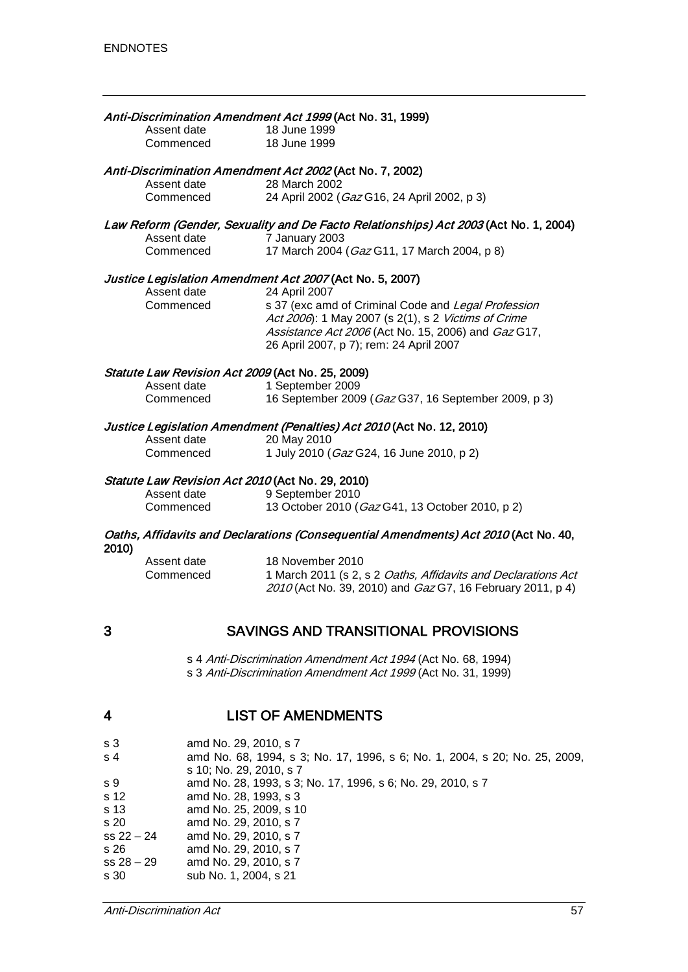|       |                                                  | Anti-Discrimination Amendment Act 1999 (Act No. 31, 1999)                                                                                                         |
|-------|--------------------------------------------------|-------------------------------------------------------------------------------------------------------------------------------------------------------------------|
|       | Assent date<br>Commenced                         | 18 June 1999<br>18 June 1999                                                                                                                                      |
|       | Assent date                                      | Anti-Discrimination Amendment Act 2002 (Act No. 7, 2002)<br>28 March 2002                                                                                         |
|       | Commenced                                        | 24 April 2002 (Gaz G16, 24 April 2002, p 3)                                                                                                                       |
|       |                                                  | Law Reform (Gender, Sexuality and De Facto Relationships) Act 2003 (Act No. 1, 2004)                                                                              |
|       | Assent date<br>Commenced                         | 7 January 2003<br>17 March 2004 (Gaz G11, 17 March 2004, p 8)                                                                                                     |
|       |                                                  | Justice Legislation Amendment Act 2007 (Act No. 5, 2007)                                                                                                          |
|       | Assent date                                      | 24 April 2007                                                                                                                                                     |
|       | Commenced                                        | s 37 (exc amd of Criminal Code and Legal Profession<br>Act 2006): 1 May 2007 (s 2(1), s 2 Victims of Crime<br>Assistance Act 2006 (Act No. 15, 2006) and Gaz G17, |
|       |                                                  | 26 April 2007, p 7); rem: 24 April 2007                                                                                                                           |
|       | Statute Law Revision Act 2009 (Act No. 25, 2009) |                                                                                                                                                                   |
|       | Assent date                                      | 1 September 2009                                                                                                                                                  |
|       | Commenced                                        | 16 September 2009 (Gaz G37, 16 September 2009, p 3)                                                                                                               |
|       |                                                  | Justice Legislation Amendment (Penalties) Act 2010 (Act No. 12, 2010)                                                                                             |
|       | Assent date                                      | 20 May 2010                                                                                                                                                       |
|       | Commenced                                        | 1 July 2010 (Gaz G24, 16 June 2010, p 2)                                                                                                                          |
|       | Statute Law Revision Act 2010 (Act No. 29, 2010) |                                                                                                                                                                   |
|       | Assent date                                      | 9 September 2010                                                                                                                                                  |
|       | Commenced                                        | 13 October 2010 (Gaz G41, 13 October 2010, p 2)                                                                                                                   |
| 2010) |                                                  | Oaths, Affidavits and Declarations (Consequential Amendments) Act 2010 (Act No. 40,                                                                               |
|       | Assent date                                      | 18 November 2010                                                                                                                                                  |
|       | Commenced                                        | 1 March 2011 (s 2, s 2 Oaths, Affidavits and Declarations Act                                                                                                     |
|       |                                                  | 2010 (Act No. 39, 2010) and Gaz G7, 16 February 2011, p 4)                                                                                                        |
| 3     |                                                  | <b>SAVINGS AND TRANSITIONAL PROVISIONS</b>                                                                                                                        |
|       |                                                  |                                                                                                                                                                   |
|       |                                                  | s 4 Anti-Discrimination Amendment Act 1994 (Act No. 68, 1994)<br>s 3 Anti-Discrimination Amendment Act 1999 (Act No. 31, 1999)                                    |
| 4     |                                                  | <b>LIST OF AMENDMENTS</b>                                                                                                                                         |
|       |                                                  |                                                                                                                                                                   |

| s <sub>3</sub> | amd No. 29, 2010, s 7                                                      |
|----------------|----------------------------------------------------------------------------|
| s <sub>4</sub> | amd No. 68, 1994, s 3; No. 17, 1996, s 6; No. 1, 2004, s 20; No. 25, 2009, |
|                | s 10: No. 29, 2010, s 7                                                    |
| s 9            | amd No. 28, 1993, s 3; No. 17, 1996, s 6; No. 29, 2010, s 7                |
| s 12           | amd No. 28, 1993, s 3                                                      |
| s 13           | amd No. 25, 2009, s 10                                                     |
| s 20           | amd No. 29, 2010, s 7                                                      |
| $ss 22 - 24$   | amd No. 29, 2010, s 7                                                      |
| s 26           | amd No. 29, 2010, s 7                                                      |
| $ss 28 - 29$   | amd No. 29, 2010, s 7                                                      |
| s 30           | sub No. 1, 2004, s 21                                                      |
|                |                                                                            |